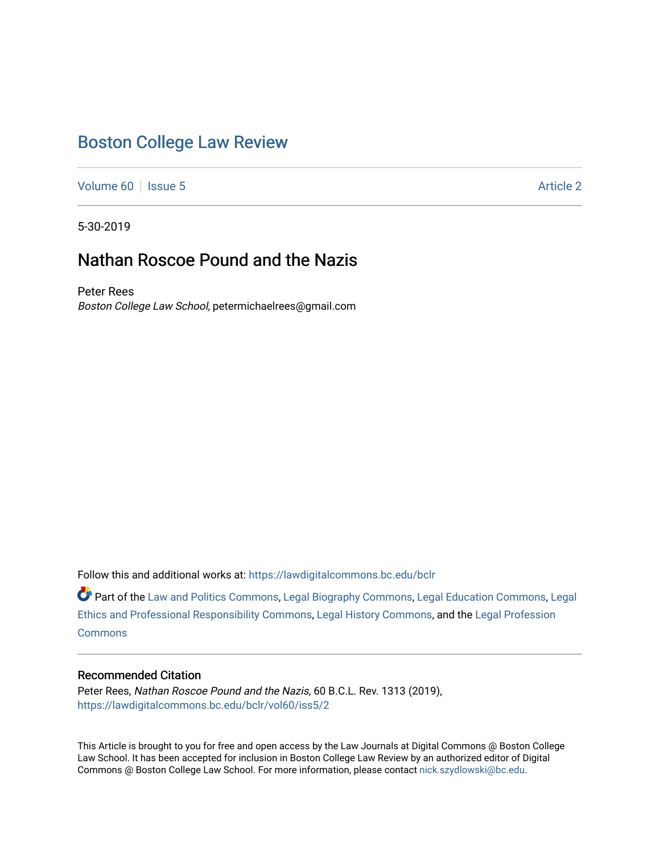# [Boston College Law Review](https://lawdigitalcommons.bc.edu/bclr)

[Volume 60](https://lawdigitalcommons.bc.edu/bclr/vol60) | [Issue 5](https://lawdigitalcommons.bc.edu/bclr/vol60/iss5) Article 2

5-30-2019

## Nathan Roscoe Pound and the Nazis

Peter Rees Boston College Law School, petermichaelrees@gmail.com

Follow this and additional works at: [https://lawdigitalcommons.bc.edu/bclr](https://lawdigitalcommons.bc.edu/bclr?utm_source=lawdigitalcommons.bc.edu%2Fbclr%2Fvol60%2Fiss5%2F2&utm_medium=PDF&utm_campaign=PDFCoverPages) 

Part of the [Law and Politics Commons,](http://network.bepress.com/hgg/discipline/867?utm_source=lawdigitalcommons.bc.edu%2Fbclr%2Fvol60%2Fiss5%2F2&utm_medium=PDF&utm_campaign=PDFCoverPages) [Legal Biography Commons,](http://network.bepress.com/hgg/discipline/834?utm_source=lawdigitalcommons.bc.edu%2Fbclr%2Fvol60%2Fiss5%2F2&utm_medium=PDF&utm_campaign=PDFCoverPages) [Legal Education Commons,](http://network.bepress.com/hgg/discipline/857?utm_source=lawdigitalcommons.bc.edu%2Fbclr%2Fvol60%2Fiss5%2F2&utm_medium=PDF&utm_campaign=PDFCoverPages) [Legal](http://network.bepress.com/hgg/discipline/895?utm_source=lawdigitalcommons.bc.edu%2Fbclr%2Fvol60%2Fiss5%2F2&utm_medium=PDF&utm_campaign=PDFCoverPages) [Ethics and Professional Responsibility Commons,](http://network.bepress.com/hgg/discipline/895?utm_source=lawdigitalcommons.bc.edu%2Fbclr%2Fvol60%2Fiss5%2F2&utm_medium=PDF&utm_campaign=PDFCoverPages) [Legal History Commons](http://network.bepress.com/hgg/discipline/904?utm_source=lawdigitalcommons.bc.edu%2Fbclr%2Fvol60%2Fiss5%2F2&utm_medium=PDF&utm_campaign=PDFCoverPages), and the [Legal Profession](http://network.bepress.com/hgg/discipline/1075?utm_source=lawdigitalcommons.bc.edu%2Fbclr%2Fvol60%2Fiss5%2F2&utm_medium=PDF&utm_campaign=PDFCoverPages)  **[Commons](http://network.bepress.com/hgg/discipline/1075?utm_source=lawdigitalcommons.bc.edu%2Fbclr%2Fvol60%2Fiss5%2F2&utm_medium=PDF&utm_campaign=PDFCoverPages)** 

## Recommended Citation

Peter Rees, Nathan Roscoe Pound and the Nazis, 60 B.C.L. Rev. 1313 (2019), [https://lawdigitalcommons.bc.edu/bclr/vol60/iss5/2](https://lawdigitalcommons.bc.edu/bclr/vol60/iss5/2?utm_source=lawdigitalcommons.bc.edu%2Fbclr%2Fvol60%2Fiss5%2F2&utm_medium=PDF&utm_campaign=PDFCoverPages) 

This Article is brought to you for free and open access by the Law Journals at Digital Commons @ Boston College Law School. It has been accepted for inclusion in Boston College Law Review by an authorized editor of Digital Commons @ Boston College Law School. For more information, please contact [nick.szydlowski@bc.edu.](mailto:nick.szydlowski@bc.edu)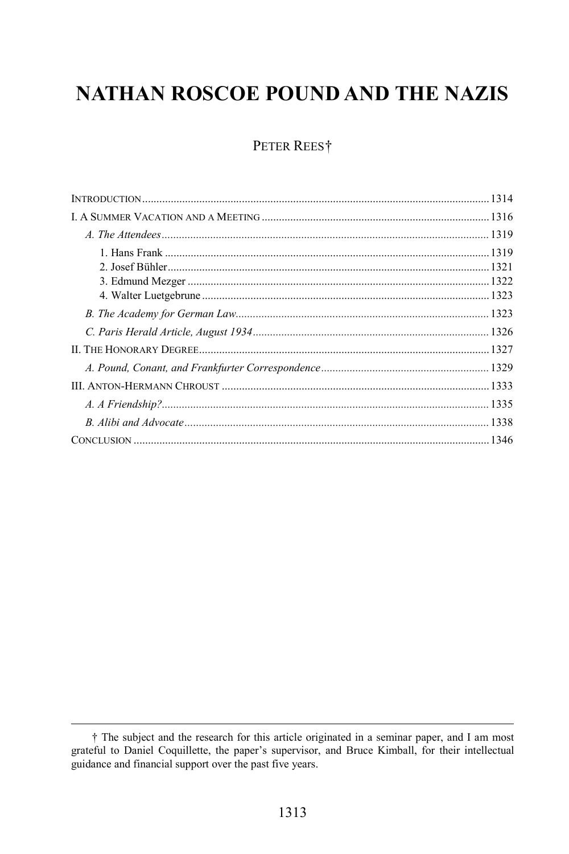# **NATHAN ROSCOE POUND AND THE NAZIS**

## PETER REES<sup>†</sup>

<span id="page-1-0"></span><sup>&</sup>lt;sup>†</sup> The subject and the research for this article originated in a seminar paper, and I am most grateful to Daniel Coquillette, the paper's supervisor, and Bruce Kimball, for their intellectual guidance and financial support over the past five years.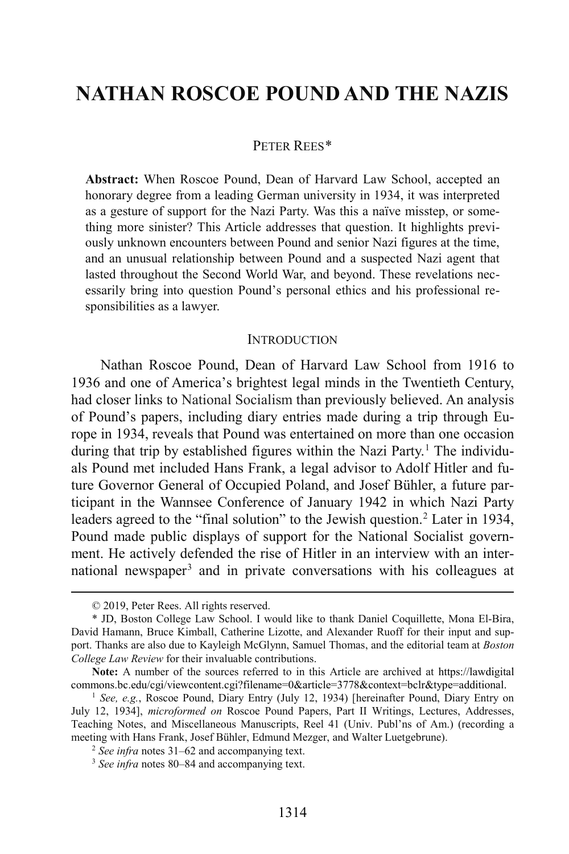## **NATHAN ROSCOE POUND AND THE NAZIS**

#### PETER REES[\\*](#page-2-0)

**Abstract:** When Roscoe Pound, Dean of Harvard Law School, accepted an honorary degree from a leading German university in 1934, it was interpreted as a gesture of support for the Nazi Party. Was this a naïve misstep, or something more sinister? This Article addresses that question. It highlights previously unknown encounters between Pound and senior Nazi figures at the time, and an unusual relationship between Pound and a suspected Nazi agent that lasted throughout the Second World War, and beyond. These revelations necessarily bring into question Pound's personal ethics and his professional responsibilities as a lawyer.

#### <span id="page-2-4"></span>**INTRODUCTION**

Nathan Roscoe Pound, Dean of Harvard Law School from 1916 to 1936 and one of America's brightest legal minds in the Twentieth Century, had closer links to National Socialism than previously believed. An analysis of Pound's papers, including diary entries made during a trip through Europe in 1934, reveals that Pound was entertained on more than one occasion during that trip by established figures within the Nazi Party.<sup>[1](#page-2-1)</sup> The individuals Pound met included Hans Frank, a legal advisor to Adolf Hitler and future Governor General of Occupied Poland, and Josef Bühler, a future participant in the Wannsee Conference of January 1942 in which Nazi Party leaders agreed to the "final solution" to the Jewish question.<sup>[2](#page-2-2)</sup> Later in 1934, Pound made public displays of support for the National Socialist government. He actively defended the rise of Hitler in an interview with an inter-national newspaper<sup>[3](#page-2-3)</sup> and in private conversations with his colleagues at

 <sup>© 2019,</sup> Peter Rees. All rights reserved.

<span id="page-2-0"></span><sup>\*</sup> JD, Boston College Law School. I would like to thank Daniel Coquillette, Mona El-Bira, David Hamann, Bruce Kimball, Catherine Lizotte, and Alexander Ruoff for their input and support. Thanks are also due to Kayleigh McGlynn, Samuel Thomas, and the editorial team at *Boston College Law Review* for their invaluable contributions.

**Note:** A number of the sources referred to in this Article are archived at [https://lawdigital](https://lawdigitalcommons.bc.edu/cgi/viewcontent.cgi?filename=0&article=3778&context=bclr&type=additional) [commons.bc.edu/cgi/viewcontent.cgi?filename=0&article=3778&context=bclr&type=additional.](https://lawdigitalcommons.bc.edu/cgi/viewcontent.cgi?filename=0&article=3778&context=bclr&type=additional)

<span id="page-2-2"></span><span id="page-2-1"></span><sup>&</sup>lt;sup>1</sup> See, e.g., Roscoe Pound, Diary Entry (July 12, 1934) [hereinafter Pound, Diary Entry on July 12, 1934], *microformed on* Roscoe Pound Papers, Part II Writings, Lectures, Addresses, Teaching Notes, and Miscellaneous Manuscripts, Reel 41 (Univ. Publ'ns of Am.) (recording a meeting with Hans Frank, Josef Bühler, Edmund Mezger, and Walter Luetgebrune).

<sup>2</sup> *See infra* note[s 31](#page-6-0)[–62](#page-11-0) and accompanying text.

<span id="page-2-3"></span><sup>3</sup> *See infra* note[s 80](#page-14-0)[–84](#page-15-0) and accompanying text.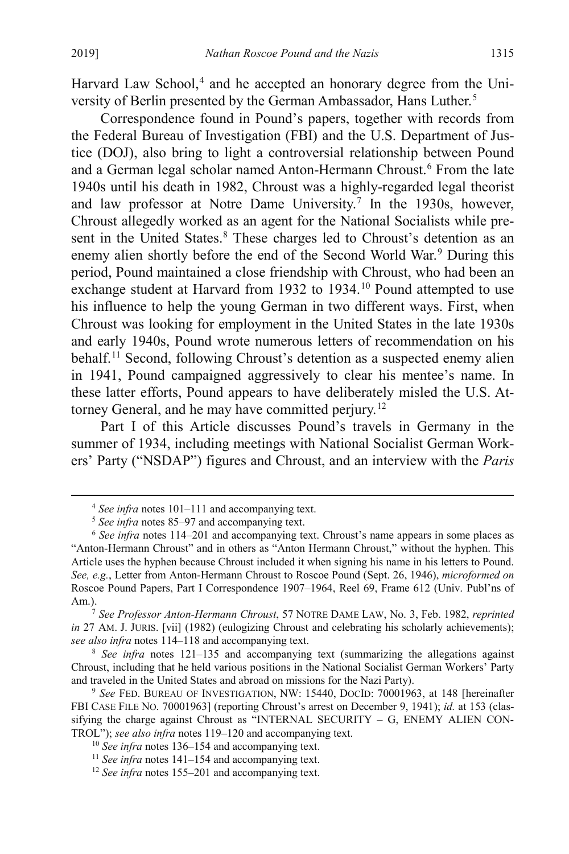Harvard Law School, [4](#page-3-0) and he accepted an honorary degree from the Uni-versity of Berlin presented by the German Ambassador, Hans Luther.<sup>[5](#page-3-1)</sup>

<span id="page-3-10"></span><span id="page-3-9"></span>Correspondence found in Pound's papers, together with records from the Federal Bureau of Investigation (FBI) and the U.S. Department of Justice (DOJ), also bring to light a controversial relationship between Pound and a German legal scholar named Anton-Hermann Chroust.<sup>[6](#page-3-2)</sup> From the late 1940s until his death in 1982, Chroust was a highly-regarded legal theorist and law professor at Notre Dame University.<sup>[7](#page-3-3)</sup> In the 1930s, however, Chroust allegedly worked as an agent for the National Socialists while present in the United States.<sup>8</sup> These charges led to Chroust's detention as an enemy alien shortly before the end of the Second World War.<sup>[9](#page-3-5)</sup> During this period, Pound maintained a close friendship with Chroust, who had been an exchange student at Harvard from 1932 to 1934.<sup>[10](#page-3-6)</sup> Pound attempted to use his influence to help the young German in two different ways. First, when Chroust was looking for employment in the United States in the late 1930s and early 1940s, Pound wrote numerous letters of recommendation on his behalf.<sup>[11](#page-3-7)</sup> Second, following Chroust's detention as a suspected enemy alien in 1941, Pound campaigned aggressively to clear his mentee's name. In these latter efforts, Pound appears to have deliberately misled the U.S. Attorney General, and he may have committed perjury.[12](#page-3-8)

Part I of this Article discusses Pound's travels in Germany in the summer of 1934, including meetings with National Socialist German Workers' Party ("NSDAP") figures and Chroust, and an interview with the *Paris* 

 <sup>4</sup> *See infra* note[s 101](#page-18-0)[–111](#page-20-0) and accompanying text.

<sup>5</sup> *See infra* note[s 85](#page-15-1)[–97](#page-17-0) and accompanying text.

<span id="page-3-2"></span><span id="page-3-1"></span><span id="page-3-0"></span><sup>6</sup> *See infra* notes [114–](#page-21-0)[201](#page-33-0) and accompanying text. Chroust's name appears in some places as "Anton-Hermann Chroust" and in others as "Anton Hermann Chroust," without the hyphen. This Article uses the hyphen because Chroust included it when signing his name in his letters to Pound. *See, e.g.*, Letter from Anton-Hermann Chroust to Roscoe Pound (Sept. 26, 1946), *microformed on* Roscoe Pound Papers, Part I Correspondence 1907–1964, Reel 69, Frame 612 (Univ. Publ'ns of Am.).7 *See Professor Anton-Hermann Chroust*, 57 NOTRE DAME LAW, No. 3, Feb. 1982, *reprinted* 

<span id="page-3-3"></span>*in* 27 AM. J. JURIS. [vii] (1982) (eulogizing Chroust and celebrating his scholarly achievements); *see also infra* notes [114–](#page-21-0)[118](#page-22-0) and accompanying text.

<span id="page-3-4"></span><sup>&</sup>lt;sup>8</sup> *See infra* notes [121–](#page-22-1)[135](#page-23-0) and accompanying text (summarizing the allegations against Chroust, including that he held various positions in the National Socialist German Workers' Party and traveled in the United States and abroad on missions for the Nazi Party).

<span id="page-3-6"></span><span id="page-3-5"></span><sup>9</sup> *See* FED. BUREAU OF INVESTIGATION, NW: 15440, DOCID: 70001963, at 148 [hereinafter FBI CASE FILE NO. 70001963] (reporting Chroust's arrest on December 9, 1941); *id.* at 153 (classifying the charge against Chroust as "INTERNAL SECURITY – G, ENEMY ALIEN CON-TROL"); *see also infra* note[s 119](#page-22-2)[–120](#page-22-3) and accompanying text.

<sup>10</sup> *See infra* note[s 136](#page-23-1)[–154](#page-26-0) and accompanying text.

<span id="page-3-7"></span><sup>&</sup>lt;sup>11</sup> *See infra* note[s 141](#page-24-0)[–154](#page-26-0) and accompanying text.

<span id="page-3-8"></span><sup>&</sup>lt;sup>12</sup> *See infra* notes [155](#page-26-1)[–201](#page-33-0) and accompanying text.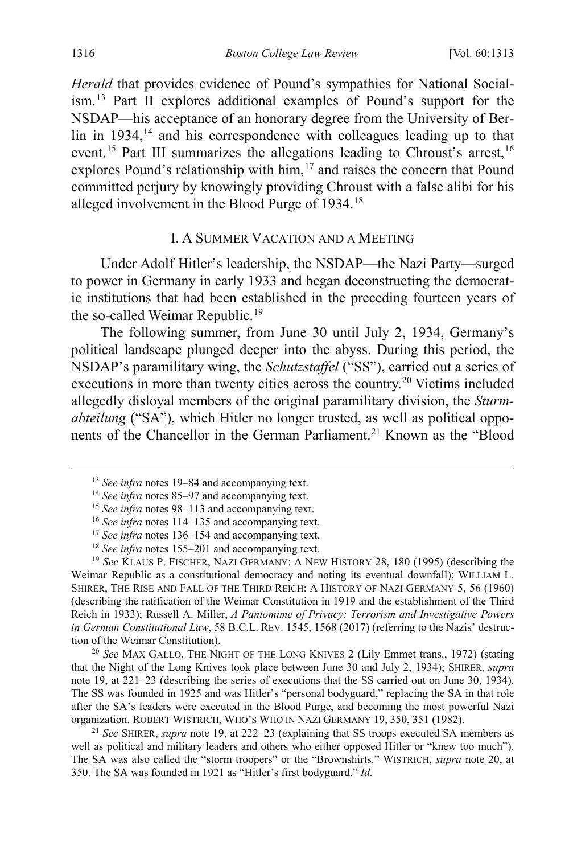*Herald* that provides evidence of Pound's sympathies for National Socialism. [13](#page-4-2) Part II explores additional examples of Pound's support for the NSDAP—his acceptance of an honorary degree from the University of Ber- $\lim_{h \to 0}$  in 1934,<sup>14</sup> and his correspondence with colleagues leading up to that event.<sup>[15](#page-4-4)</sup> Part III summarizes the allegations leading to Chroust's arrest,<sup>[16](#page-4-5)</sup> explores Pound's relationship with him,<sup>[17](#page-4-6)</sup> and raises the concern that Pound committed perjury by knowingly providing Chroust with a false alibi for his alleged involvement in the Blood Purge of 1934.[18](#page-4-7)

#### <span id="page-4-1"></span><span id="page-4-0"></span>I. A SUMMER VACATION AND A MEETING

Under Adolf Hitler's leadership, the NSDAP—the Nazi Party—surged to power in Germany in early 1933 and began deconstructing the democratic institutions that had been established in the preceding fourteen years of the so-called Weimar Republic.<sup>[19](#page-4-8)</sup>

The following summer, from June 30 until July 2, 1934, Germany's political landscape plunged deeper into the abyss. During this period, the NSDAP's paramilitary wing, the *Schutzstaffel* ("SS"), carried out a series of executions in more than twenty cities across the country.[20](#page-4-9) Victims included allegedly disloyal members of the original paramilitary division, the *Sturmabteilung* ("SA"), which Hitler no longer trusted, as well as political oppo-nents of the Chancellor in the German Parliament.<sup>[21](#page-4-10)</sup> Known as the "Blood"

<span id="page-4-9"></span>that the Night of the Long Knives took place between June 30 and July 2, 1934); SHIRER, *supra* note [19,](#page-4-0) at 221–23 (describing the series of executions that the SS carried out on June 30, 1934). The SS was founded in 1925 and was Hitler's "personal bodyguard," replacing the SA in that role after the SA's leaders were executed in the Blood Purge, and becoming the most powerful Nazi organization. ROBERT WISTRICH, WHO'S WHO IN NAZI GERMANY 19, 350, 351 (1982).

<span id="page-4-10"></span><sup>21</sup> *See* SHIRER, *supra* not[e 19,](#page-4-0) at 222–23 (explaining that SS troops executed SA members as well as political and military leaders and others who either opposed Hitler or "knew too much"). The SA was also called the "storm troopers" or the "Brownshirts." WISTRICH, *supra* note [20,](#page-4-1) at 350. The SA was founded in 1921 as "Hitler's first bodyguard." *Id.*

<span id="page-4-2"></span> <sup>13</sup> *See infra* note[s 19–](#page-4-0)[84](#page-15-0) and accompanying text.

<span id="page-4-3"></span><sup>&</sup>lt;sup>14</sup> *See infra* note[s 85–](#page-15-2)[97](#page-17-1) and accompanying text.

<sup>15</sup> *See infra* note[s 98–](#page-18-1)[113](#page-20-1) and accompanying text.

<sup>16</sup> *See infra* notes [114](#page-21-0)[–135](#page-23-0) and accompanying text.

<sup>&</sup>lt;sup>17</sup> See infra notes [136](#page-23-1)[–154](#page-26-0) and accompanying text.

<sup>&</sup>lt;sup>18</sup> *See infra* note[s 155](#page-26-1)[–201](#page-33-0) and accompanying text.

<span id="page-4-8"></span><span id="page-4-7"></span><span id="page-4-6"></span><span id="page-4-5"></span><span id="page-4-4"></span><sup>19</sup> *See* KLAUS P. FISCHER, NAZI GERMANY: A NEW HISTORY 28, 180 (1995) (describing the Weimar Republic as a constitutional democracy and noting its eventual downfall); WILLIAM L. SHIRER, THE RISE AND FALL OF THE THIRD REICH: A HISTORY OF NAZI GERMANY 5, 56 (1960) (describing the ratification of the Weimar Constitution in 1919 and the establishment of the Third Reich in 1933); Russell A. Miller, *A Pantomime of Privacy: Terrorism and Investigative Powers in German Constitutional Law*, 58 B.C.L. REV. 1545, 1568 (2017) (referring to the Nazis' destruction of the Weimar Constitution). 20 *See* MAX GALLO, THE NIGHT OF THE LONG KNIVES 2 (Lily Emmet trans., 1972) (stating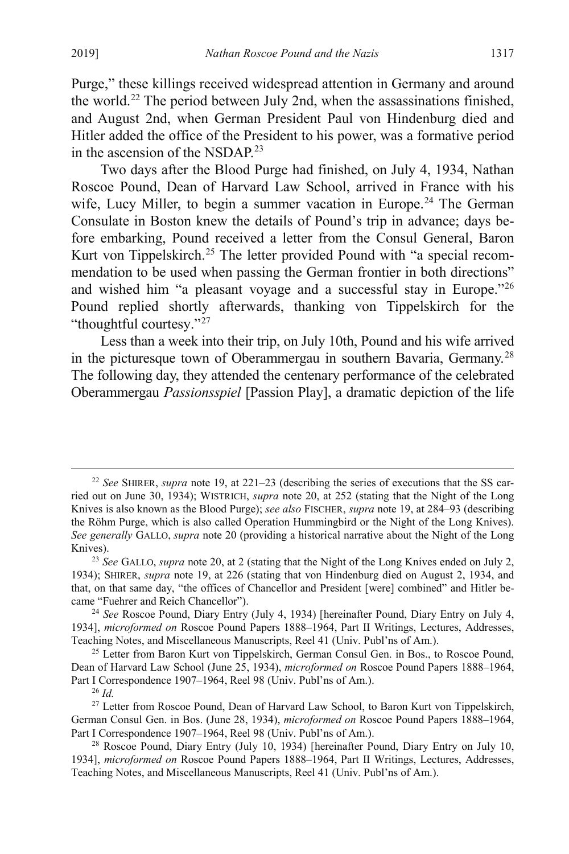Purge," these killings received widespread attention in Germany and around the world[.22](#page-5-0) The period between July 2nd, when the assassinations finished, and August 2nd, when German President Paul von Hindenburg died and Hitler added the office of the President to his power, was a formative period in the ascension of the NSDAP.<sup>[23](#page-5-1)</sup>

<span id="page-5-9"></span><span id="page-5-8"></span>Two days after the Blood Purge had finished, on July 4, 1934, Nathan Roscoe Pound, Dean of Harvard Law School, arrived in France with his wife, Lucy Miller, to begin a summer vacation in Europe.<sup>[24](#page-5-2)</sup> The German Consulate in Boston knew the details of Pound's trip in advance; days before embarking, Pound received a letter from the Consul General, Baron Kurt von Tippelskirch.<sup>[25](#page-5-3)</sup> The letter provided Pound with "a special recommendation to be used when passing the German frontier in both directions" and wished him "a pleasant voyage and a successful stay in Europe."[26](#page-5-4) Pound replied shortly afterwards, thanking von Tippelskirch for the "thoughtful courtesy."<sup>[27](#page-5-5)</sup>

<span id="page-5-7"></span>Less than a week into their trip, on July 10th, Pound and his wife arrived in the picturesque town of Oberammergau in southern Bavaria, Germany.[28](#page-5-6) The following day, they attended the centenary performance of the celebrated Oberammergau *Passionsspiel* [Passion Play], a dramatic depiction of the life

<span id="page-5-0"></span> <sup>22</sup> *See* SHIRER, *supra* note [19,](#page-4-0) at 221–23 (describing the series of executions that the SS carried out on June 30, 1934); WISTRICH, *supra* note [20,](#page-4-1) at 252 (stating that the Night of the Long Knives is also known as the Blood Purge); *see also* FISCHER, *supra* not[e 19,](#page-4-0) at 284–93 (describing the Röhm Purge, which is also called Operation Hummingbird or the Night of the Long Knives). *See generally* GALLO, *supra* note [20](#page-4-1) (providing a historical narrative about the Night of the Long Knives).

<span id="page-5-1"></span><sup>23</sup> *See* GALLO, *supra* not[e 20,](#page-4-1) at 2 (stating that the Night of the Long Knives ended on July 2, 1934); SHIRER, *supra* note [19,](#page-4-0) at 226 (stating that von Hindenburg died on August 2, 1934, and that, on that same day, "the offices of Chancellor and President [were] combined" and Hitler became "Fuehrer and Reich Chancellor").

<span id="page-5-2"></span><sup>24</sup> *See* Roscoe Pound, Diary Entry (July 4, 1934) [hereinafter Pound, Diary Entry on July 4, 1934], *microformed on* Roscoe Pound Papers 1888–1964, Part II Writings, Lectures, Addresses, Teaching Notes, and Miscellaneous Manuscripts, Reel 41 (Univ. Publ'ns of Am.).

<span id="page-5-3"></span><sup>&</sup>lt;sup>25</sup> Letter from Baron Kurt von Tippelskirch, German Consul Gen. in Bos., to Roscoe Pound, Dean of Harvard Law School (June 25, 1934), *microformed on* Roscoe Pound Papers 1888–1964, Part I Correspondence 1907–1964, Reel 98 (Univ. Publ'ns of Am.).

<sup>26</sup> *Id.*

<span id="page-5-5"></span><span id="page-5-4"></span><sup>&</sup>lt;sup>27</sup> Letter from Roscoe Pound, Dean of Harvard Law School, to Baron Kurt von Tippelskirch, German Consul Gen. in Bos. (June 28, 1934), *microformed on* Roscoe Pound Papers 1888–1964, Part I Correspondence 1907–1964, Reel 98 (Univ. Publ'ns of Am.).

<span id="page-5-6"></span><sup>&</sup>lt;sup>28</sup> Roscoe Pound, Diary Entry (July 10, 1934) [hereinafter Pound, Diary Entry on July 10, 1934], *microformed on* Roscoe Pound Papers 1888–1964, Part II Writings, Lectures, Addresses, Teaching Notes, and Miscellaneous Manuscripts, Reel 41 (Univ. Publ'ns of Am.).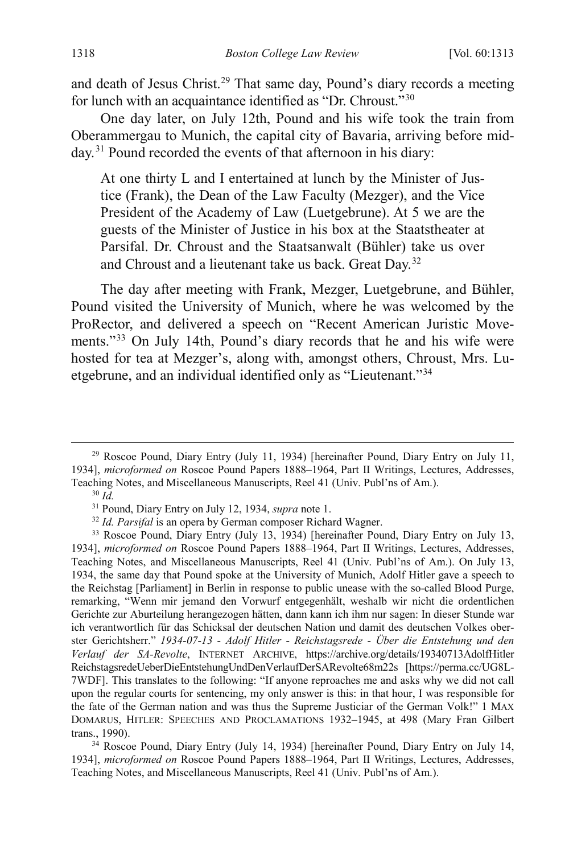<span id="page-6-9"></span>and death of Jesus Christ.<sup>[29](#page-6-1)</sup> That same day, Pound's diary records a meeting for lunch with an acquaintance identified as "Dr. Chroust."[30](#page-6-2)

One day later, on July 12th, Pound and his wife took the train from Oberammergau to Munich, the capital city of Bavaria, arriving before mid-day.<sup>[31](#page-6-3)</sup> Pound recorded the events of that afternoon in his diary:

<span id="page-6-0"></span>At one thirty L and I entertained at lunch by the Minister of Justice (Frank), the Dean of the Law Faculty (Mezger), and the Vice President of the Academy of Law (Luetgebrune). At 5 we are the guests of the Minister of Justice in his box at the Staatstheater at Parsifal. Dr. Chroust and the Staatsanwalt (Bühler) take us over and Chroust and a lieutenant take us back. Great Day.[32](#page-6-4)

<span id="page-6-8"></span>The day after meeting with Frank, Mezger, Luetgebrune, and Bühler, Pound visited the University of Munich, where he was welcomed by the ProRector, and delivered a speech on "Recent American Juristic Movements."[33](#page-6-5) On July 14th, Pound's diary records that he and his wife were hosted for tea at Mezger's, along with, amongst others, Chroust, Mrs. Luetgebrune, and an individual identified only as "Lieutenant."[34](#page-6-6)

<span id="page-6-1"></span><sup>&</sup>lt;sup>29</sup> Roscoe Pound, Diary Entry (July 11, 1934) [hereinafter Pound, Diary Entry on July 11, 1934], *microformed on* Roscoe Pound Papers 1888–1964, Part II Writings, Lectures, Addresses, Teaching Notes, and Miscellaneous Manuscripts, Reel 41 (Univ. Publ'ns of Am.).<br><sup>30</sup> *Id.* <sup>31</sup> Pound, Diary Entry on July 12, 1934, *supra* note 1.

<span id="page-6-7"></span>

<sup>&</sup>lt;sup>32</sup> Id. Parsifal is an opera by German composer Richard Wagner.

<span id="page-6-5"></span><span id="page-6-4"></span><span id="page-6-3"></span><span id="page-6-2"></span><sup>33</sup> Roscoe Pound, Diary Entry (July 13, 1934) [hereinafter Pound, Diary Entry on July 13, 1934], *microformed on* Roscoe Pound Papers 1888–1964, Part II Writings, Lectures, Addresses, Teaching Notes, and Miscellaneous Manuscripts, Reel 41 (Univ. Publ'ns of Am.). On July 13, 1934, the same day that Pound spoke at the University of Munich, Adolf Hitler gave a speech to the Reichstag [Parliament] in Berlin in response to public unease with the so-called Blood Purge, remarking, "Wenn mir jemand den Vorwurf entgegenhält, weshalb wir nicht die ordentlichen Gerichte zur Aburteilung herangezogen hätten, dann kann ich ihm nur sagen: In dieser Stunde war ich verantwortlich für das Schicksal der deutschen Nation und damit des deutschen Volkes oberster Gerichtsherr." *1934-07-13 - Adolf Hitler - Reichstagsrede - Über die Entstehung und den Verlauf der SA-Revolte*, INTERNET ARCHIVE, https://archive.org/details/19340713AdolfHitler ReichstagsredeUeberDieEntstehungUndDenVerlaufDerSARevolte68m22s [https://perma.cc/UG8L-7WDF]. This translates to the following: "If anyone reproaches me and asks why we did not call upon the regular courts for sentencing, my only answer is this: in that hour, I was responsible for the fate of the German nation and was thus the Supreme Justiciar of the German Volk!" 1 MAX DOMARUS, HITLER: SPEECHES AND PROCLAMATIONS 1932–1945, at 498 (Mary Fran Gilbert trans., 1990).

<span id="page-6-6"></span><sup>34</sup> Roscoe Pound, Diary Entry (July 14, 1934) [hereinafter Pound, Diary Entry on July 14, 1934], *microformed on* Roscoe Pound Papers 1888–1964, Part II Writings, Lectures, Addresses, Teaching Notes, and Miscellaneous Manuscripts, Reel 41 (Univ. Publ'ns of Am.).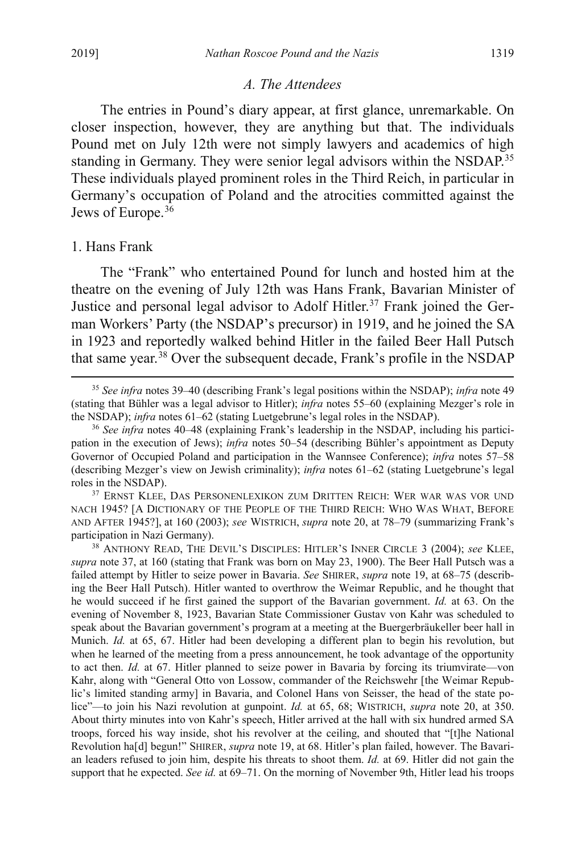## <span id="page-7-0"></span>*A. The Attendees*

The entries in Pound's diary appear, at first glance, unremarkable. On closer inspection, however, they are anything but that. The individuals Pound met on July 12th were not simply lawyers and academics of high standing in Germany. They were senior legal advisors within the NSDAP.<sup>[35](#page-7-1)</sup> These individuals played prominent roles in the Third Reich, in particular in Germany's occupation of Poland and the atrocities committed against the Jews of Europe.<sup>[36](#page-7-2)</sup>

#### 1. Hans Frank

The "Frank" who entertained Pound for lunch and hosted him at the theatre on the evening of July 12th was Hans Frank, Bavarian Minister of Justice and personal legal advisor to Adolf Hitler.<sup>[37](#page-7-3)</sup> Frank joined the German Workers' Party (the NSDAP's precursor) in 1919, and he joined the SA in 1923 and reportedly walked behind Hitler in the failed Beer Hall Putsch that same year.<sup>[38](#page-7-4)</sup> Over the subsequent decade, Frank's profile in the NSDAP

<span id="page-7-3"></span>37 ERNST KLEE, DAS PERSONENLEXIKON ZUM DRITTEN REICH: WER WAR WAS VOR UND NACH 1945? [A DICTIONARY OF THE PEOPLE OF THE THIRD REICH: WHO WAS WHAT, BEFORE AND AFTER 1945?], at 160 (2003); *see* WISTRICH, *supra* not[e 20,](#page-4-1) at 78–79 (summarizing Frank's participation in Nazi Germany).

<span id="page-7-4"></span>38 ANTHONY READ, THE DEVIL'S DISCIPLES: HITLER'S INNER CIRCLE 3 (2004); *see* KLEE, *supra* note [37,](#page-7-0) at 160 (stating that Frank was born on May 23, 1900). The Beer Hall Putsch was a failed attempt by Hitler to seize power in Bavaria. *See* SHIRER, *supra* note [19,](#page-4-0) at 68–75 (describing the Beer Hall Putsch). Hitler wanted to overthrow the Weimar Republic, and he thought that he would succeed if he first gained the support of the Bavarian government. *Id.* at 63. On the evening of November 8, 1923, Bavarian State Commissioner Gustav von Kahr was scheduled to speak about the Bavarian government's program at a meeting at the Buergerbräukeller beer hall in Munich. *Id.* at 65, 67. Hitler had been developing a different plan to begin his revolution, but when he learned of the meeting from a press announcement, he took advantage of the opportunity to act then. *Id.* at 67. Hitler planned to seize power in Bavaria by forcing its triumvirate—von Kahr, along with "General Otto von Lossow, commander of the Reichswehr [the Weimar Republic's limited standing army] in Bavaria, and Colonel Hans von Seisser, the head of the state police"—to join his Nazi revolution at gunpoint. *Id.* at 65, 68; WISTRICH, *supra* note [20,](#page-4-1) at 350. About thirty minutes into von Kahr's speech, Hitler arrived at the hall with six hundred armed SA troops, forced his way inside, shot his revolver at the ceiling, and shouted that "[t]he National Revolution ha[d] begun!" SHIRER, *supra* not[e 19,](#page-4-0) at 68. Hitler's plan failed, however. The Bavarian leaders refused to join him, despite his threats to shoot them. *Id.* at 69. Hitler did not gain the support that he expected. *See id.* at 69–71. On the morning of November 9th, Hitler lead his troops

<span id="page-7-5"></span><span id="page-7-1"></span> <sup>35</sup> *See infra* note[s 39](#page-8-0)[–40](#page-8-1) (describing Frank's legal positions within the NSDAP); *infra* note [49](#page-10-0) (stating that Bühler was a legal advisor to Hitler); *infra* notes [55–](#page-10-1)[60](#page-11-1) (explaining Mezger's role in the NSDAP); *infra* note[s 61](#page-11-2)[–62](#page-11-0) (stating Luetgebrune's legal roles in the NSDAP).

<span id="page-7-2"></span><sup>36</sup> *See infra* notes [40–](#page-8-1)[48](#page-9-0) (explaining Frank's leadership in the NSDAP, including his participation in the execution of Jews); *infra* notes [50–](#page-10-2)[54](#page-10-3) (describing Bühler's appointment as Deputy Governor of Occupied Poland and participation in the Wannsee Conference); *infra* notes [57–](#page-10-4)[58](#page-11-3) (describing Mezger's view on Jewish criminality); *infra* notes [61–](#page-11-2)[62](#page-11-0) (stating Luetgebrune's legal roles in the NSDAP).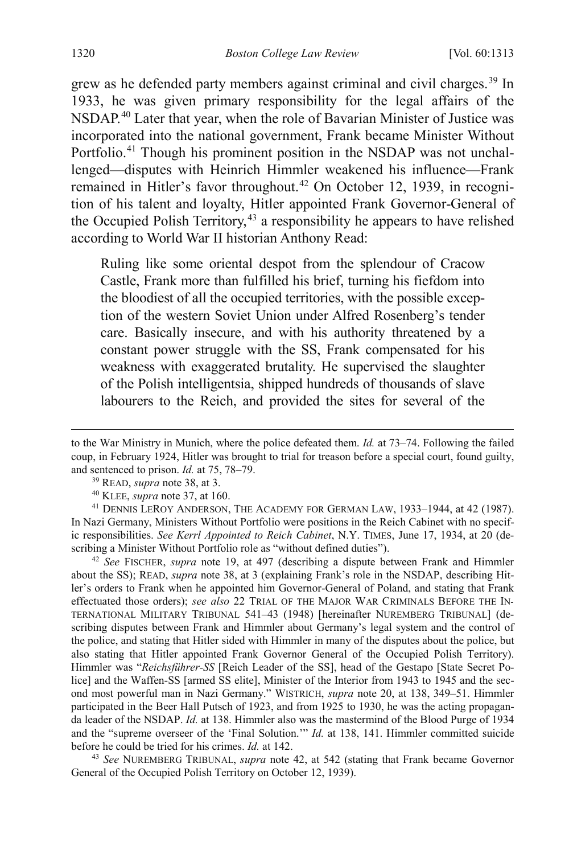<span id="page-8-7"></span><span id="page-8-1"></span><span id="page-8-0"></span>grew as he defended party members against criminal and civil charges.<sup>[39](#page-8-2)</sup> In 1933, he was given primary responsibility for the legal affairs of the NSDAP.[40](#page-8-3) Later that year, when the role of Bavarian Minister of Justice was incorporated into the national government, Frank became Minister Without Portfolio.<sup>[41](#page-8-4)</sup> Though his prominent position in the NSDAP was not unchallenged—disputes with Heinrich Himmler weakened his influence—Frank remained in Hitler's favor throughout.<sup>[42](#page-8-5)</sup> On October 12, 1939, in recognition of his talent and loyalty, Hitler appointed Frank Governor-General of the Occupied Polish Territory,  $43$  a responsibility he appears to have relished according to World War II historian Anthony Read:

Ruling like some oriental despot from the splendour of Cracow Castle, Frank more than fulfilled his brief, turning his fiefdom into the bloodiest of all the occupied territories, with the possible exception of the western Soviet Union under Alfred Rosenberg's tender care. Basically insecure, and with his authority threatened by a constant power struggle with the SS, Frank compensated for his weakness with exaggerated brutality. He supervised the slaughter of the Polish intelligentsia, shipped hundreds of thousands of slave labourers to the Reich, and provided the sites for several of the

<span id="page-8-5"></span><sup>42</sup> *See* FISCHER, *supra* note [19,](#page-4-0) at 497 (describing a dispute between Frank and Himmler about the SS); READ, *supra* note [38,](#page-7-5) at 3 (explaining Frank's role in the NSDAP, describing Hitler's orders to Frank when he appointed him Governor-General of Poland, and stating that Frank effectuated those orders); *see also* 22 TRIAL OF THE MAJOR WAR CRIMINALS BEFORE THE IN-TERNATIONAL MILITARY TRIBUNAL 541–43 (1948) [hereinafter NUREMBERG TRIBUNAL] (describing disputes between Frank and Himmler about Germany's legal system and the control of the police, and stating that Hitler sided with Himmler in many of the disputes about the police, but also stating that Hitler appointed Frank Governor General of the Occupied Polish Territory). Himmler was "*Reichsführer-SS* [Reich Leader of the SS], head of the Gestapo [State Secret Police] and the Waffen-SS [armed SS elite], Minister of the Interior from 1943 to 1945 and the second most powerful man in Nazi Germany." WISTRICH, *supra* note [20,](#page-4-1) at 138, 349–51. Himmler participated in the Beer Hall Putsch of 1923, and from 1925 to 1930, he was the acting propaganda leader of the NSDAP. *Id.* at 138. Himmler also was the mastermind of the Blood Purge of 1934 and the "supreme overseer of the 'Final Solution.'" *Id.* at 138, 141. Himmler committed suicide before he could be tried for his crimes. *Id.* at 142.

<span id="page-8-6"></span><sup>43</sup> *See* NUREMBERG TRIBUNAL, *supra* note 42, at 542 (stating that Frank became Governor General of the Occupied Polish Territory on October 12, 1939).

to the War Ministry in Munich, where the police defeated them. *Id.* at 73–74. Following the failed coup, in February 1924, Hitler was brought to trial for treason before a special court, found guilty, and sentenced to prison. *Id.* at 75, 78–79.

<sup>39</sup> READ, *supra* note [38,](#page-7-5) at 3.

<sup>40</sup> KLEE, *supra* note [37,](#page-7-0) at 160.

<span id="page-8-4"></span><span id="page-8-3"></span><span id="page-8-2"></span><sup>41</sup> DENNIS LEROY ANDERSON, THE ACADEMY FOR GERMAN LAW, 1933–1944, at 42 (1987). In Nazi Germany, Ministers Without Portfolio were positions in the Reich Cabinet with no specific responsibilities. *See Kerrl Appointed to Reich Cabinet*, N.Y. TIMES, June 17, 1934, at 20 (describing a Minister Without Portfolio role as "without defined duties").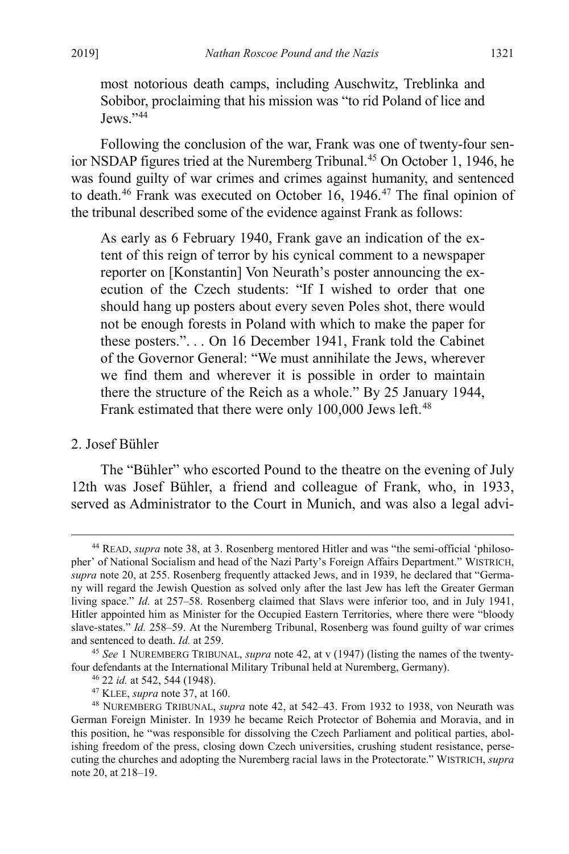most notorious death camps, including Auschwitz, Treblinka and Sobibor, proclaiming that his mission was "to rid Poland of lice and Jews."[44](#page-9-1)

Following the conclusion of the war, Frank was one of twenty-four sen-ior NSDAP figures tried at the Nuremberg Tribunal.<sup>[45](#page-9-2)</sup> On October 1, 1946, he was found guilty of war crimes and crimes against humanity, and sentenced to death.<sup>[46](#page-9-3)</sup> Frank was executed on October 16, 1946.<sup>[47](#page-9-4)</sup> The final opinion of the tribunal described some of the evidence against Frank as follows:

As early as 6 February 1940, Frank gave an indication of the extent of this reign of terror by his cynical comment to a newspaper reporter on [Konstantin] Von Neurath's poster announcing the execution of the Czech students: "If I wished to order that one should hang up posters about every seven Poles shot, there would not be enough forests in Poland with which to make the paper for these posters.". . . On 16 December 1941, Frank told the Cabinet of the Governor General: "We must annihilate the Jews, wherever we find them and wherever it is possible in order to maintain there the structure of the Reich as a whole." By 25 January 1944, Frank estimated that there were only 100,000 Jews left.<sup>[48](#page-9-5)</sup>

## <span id="page-9-0"></span>2. Josef Bühler

The "Bühler" who escorted Pound to the theatre on the evening of July 12th was Josef Bühler, a friend and colleague of Frank, who, in 1933, served as Administrator to the Court in Munich, and was also a legal advi-

<span id="page-9-1"></span> <sup>44</sup> READ, *supra* note [38,](#page-7-5) at 3. Rosenberg mentored Hitler and was "the semi-official 'philosopher' of National Socialism and head of the Nazi Party's Foreign Affairs Department." WISTRICH, *supra* not[e 20,](#page-4-1) at 255. Rosenberg frequently attacked Jews, and in 1939, he declared that "Germany will regard the Jewish Question as solved only after the last Jew has left the Greater German living space." *Id.* at 257–58. Rosenberg claimed that Slavs were inferior too, and in July 1941, Hitler appointed him as Minister for the Occupied Eastern Territories, where there were "bloody slave-states." *Id.* 258–59. At the Nuremberg Tribunal, Rosenberg was found guilty of war crimes and sentenced to death. *Id.* at 259.

<span id="page-9-2"></span><sup>45</sup> *See* 1 NUREMBERG TRIBUNAL, *supra* note 42, at v (1947) (listing the names of the twentyfour defendants at the International Military Tribunal held at Nuremberg, Germany).

<sup>46</sup> 22 *id.* at 542, 544 (1948).

<sup>47</sup> KLEE, *supra* note [37,](#page-7-0) at 160.

<span id="page-9-5"></span><span id="page-9-4"></span><span id="page-9-3"></span><sup>48</sup> NUREMBERG TRIBUNAL, *supra* note 42, at 542–43. From 1932 to 1938, von Neurath was German Foreign Minister. In 1939 he became Reich Protector of Bohemia and Moravia, and in this position, he "was responsible for dissolving the Czech Parliament and political parties, abolishing freedom of the press, closing down Czech universities, crushing student resistance, persecuting the churches and adopting the Nuremberg racial laws in the Protectorate." WISTRICH, *supra* note [20,](#page-4-1) at 218–19.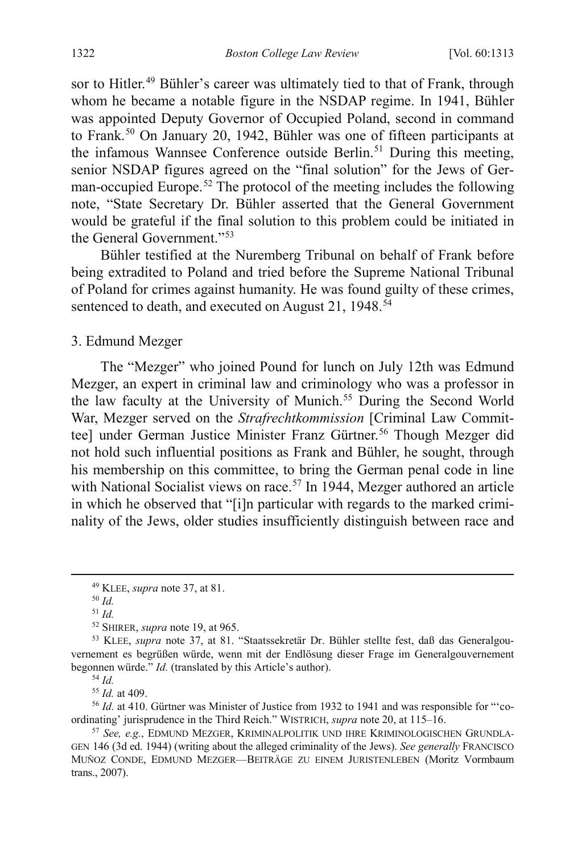<span id="page-10-2"></span><span id="page-10-0"></span>sor to Hitler.<sup>49</sup> Bühler's career was ultimately tied to that of Frank, through whom he became a notable figure in the NSDAP regime. In 1941, Bühler was appointed Deputy Governor of Occupied Poland, second in command to Frank.<sup>[50](#page-10-6)</sup> On January 20, 1942, Bühler was one of fifteen participants at the infamous Wannsee Conference outside Berlin.<sup>[51](#page-10-7)</sup> During this meeting, senior NSDAP figures agreed on the "final solution" for the Jews of Ger-man-occupied Europe.<sup>[52](#page-10-8)</sup> The protocol of the meeting includes the following note, "State Secretary Dr. Bühler asserted that the General Government would be grateful if the final solution to this problem could be initiated in the General Government."<sup>[53](#page-10-9)</sup>

Bühler testified at the Nuremberg Tribunal on behalf of Frank before being extradited to Poland and tried before the Supreme National Tribunal of Poland for crimes against humanity. He was found guilty of these crimes, sentenced to death, and executed on August 21, 1948.<sup>[54](#page-10-10)</sup>

<span id="page-10-3"></span>3. Edmund Mezger

<span id="page-10-1"></span>The "Mezger" who joined Pound for lunch on July 12th was Edmund Mezger, an expert in criminal law and criminology who was a professor in the law faculty at the University of Munich.<sup>[55](#page-10-11)</sup> During the Second World War, Mezger served on the *Strafrechtkommission* [Criminal Law Commit-tee] under German Justice Minister Franz Gürtner.<sup>[56](#page-10-12)</sup> Though Mezger did not hold such influential positions as Frank and Bühler, he sought, through his membership on this committee, to bring the German penal code in line with National Socialist views on race.<sup>[57](#page-10-13)</sup> In 1944, Mezger authored an article in which he observed that "[i]n particular with regards to the marked criminality of the Jews, older studies insufficiently distinguish between race and

<sup>54</sup> *Id.*

<sup>55</sup> *Id.* at 409.

<span id="page-10-12"></span><span id="page-10-11"></span><span id="page-10-10"></span><sup>56</sup> *Id.* at 410. Gürtner was Minister of Justice from 1932 to 1941 and was responsible for "'coordinating' jurisprudence in the Third Reich." WISTRICH, *supra* not[e 20,](#page-4-1) at 115–16.

<span id="page-10-4"></span> <sup>49</sup> KLEE, *supra* note [37,](#page-7-0) at 81.

<sup>50</sup> *Id.*

<sup>51</sup> *Id.*

<sup>52</sup> SHIRER, *supra* not[e 19,](#page-4-0) at 965.

<span id="page-10-9"></span><span id="page-10-8"></span><span id="page-10-7"></span><span id="page-10-6"></span><span id="page-10-5"></span><sup>53</sup> KLEE, *supra* note [37,](#page-7-0) at 81. "Staatssekretär Dr. Bühler stellte fest, daß das Generalgouvernement es begrüßen würde, wenn mit der Endlösung dieser Frage im Generalgouvernement begonnen würde." *Id.* (translated by this Article's author).

<span id="page-10-13"></span><sup>57</sup> *See, e.g.*, EDMUND MEZGER, KRIMINALPOLITIK UND IHRE KRIMINOLOGISCHEN GRUNDLA-GEN 146 (3d ed. 1944) (writing about the alleged criminality of the Jews). *See generally* FRANCISCO MUÑOZ CONDE, EDMUND MEZGER—BEITRÄGE ZU EINEM JURISTENLEBEN (Moritz Vormbaum trans., 2007).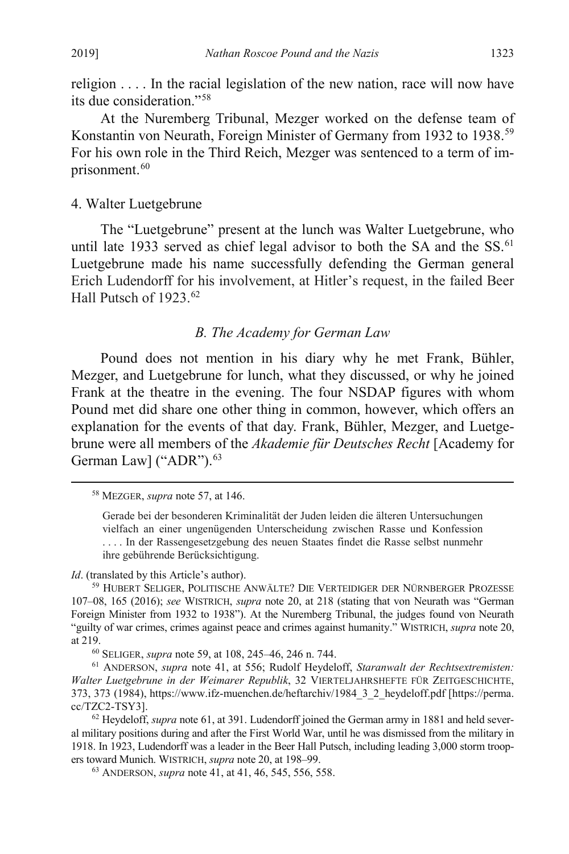<span id="page-11-3"></span>religion . . . . In the racial legislation of the new nation, race will now have its due consideration."[58](#page-11-5)

At the Nuremberg Tribunal, Mezger worked on the defense team of Konstantin von Neurath, Foreign Minister of Germany from 1932 to 1938.[59](#page-11-6) For his own role in the Third Reich, Mezger was sentenced to a term of im-prisonment.<sup>[60](#page-11-7)</sup>

## <span id="page-11-1"></span>4. Walter Luetgebrune

The "Luetgebrune" present at the lunch was Walter Luetgebrune, who until late 1933 served as chief legal advisor to both the SA and the SS.<sup>[61](#page-11-8)</sup> Luetgebrune made his name successfully defending the German general Erich Ludendorff for his involvement, at Hitler's request, in the failed Beer Hall Putsch of 1923.<sup>[62](#page-11-9)</sup>

## <span id="page-11-4"></span><span id="page-11-2"></span><span id="page-11-0"></span>*B. The Academy for German Law*

Pound does not mention in his diary why he met Frank, Bühler, Mezger, and Luetgebrune for lunch, what they discussed, or why he joined Frank at the theatre in the evening. The four NSDAP figures with whom Pound met did share one other thing in common, however, which offers an explanation for the events of that day. Frank, Bühler, Mezger, and Luetgebrune were all members of the *Akademie für Deutsches Recht* [Academy for German Law] ("ADR").<sup>[63](#page-11-10)</sup>

<span id="page-11-5"></span>58 MEZGER, *supra* note 57, at 146.

*Id*. (translated by this Article's author).

<span id="page-11-6"></span>59 HUBERT SELIGER, POLITISCHE ANWÄLTE? DIE VERTEIDIGER DER NÜRNBERGER PROZESSE 107–08, 165 (2016); *see* WISTRICH, *supra* note [20,](#page-4-1) at 218 (stating that von Neurath was "German Foreign Minister from 1932 to 1938"). At the Nuremberg Tribunal, the judges found von Neurath "guilty of war crimes, crimes against peace and crimes against humanity." WISTRICH, *supra* note [20,](#page-4-1) at 219.

60 SELIGER, *supra* not[e 59,](#page-11-4) at 108, 245–46, 246 n. 744.

<span id="page-11-8"></span><span id="page-11-7"></span>61 ANDERSON, *supra* note [41,](#page-8-7) at 556; Rudolf Heydeloff, *Staranwalt der Rechtsextremisten: Walter Luetgebrune in der Weimarer Republik*, 32 VIERTELJAHRSHEFTE FÜR ZEITGESCHICHTE, 373, 373 (1984), https://www.ifz-muenchen.de/heftarchiv/1984\_3\_2\_heydeloff.pdf [https://perma. cc/TZC2-TSY3].

<span id="page-11-10"></span><span id="page-11-9"></span><sup>62</sup> Heydeloff, *supra* not[e 61,](#page-11-2) at 391. Ludendorff joined the German army in 1881 and held several military positions during and after the First World War, until he was dismissed from the military in 1918. In 1923, Ludendorff was a leader in the Beer Hall Putsch, including leading 3,000 storm troopers toward Munich. WISTRICH, *supra* not[e 20,](#page-4-1) at 198–99.

63 ANDERSON, *supra* not[e 41,](#page-8-7) at 41, 46, 545, 556, 558.

Gerade bei der besonderen Kriminalität der Juden leiden die älteren Untersuchungen vielfach an einer ungenügenden Unterscheidung zwischen Rasse und Konfession . . . . In der Rassengesetzgebung des neuen Staates findet die Rasse selbst nunmehr ihre gebührende Berücksichtigung.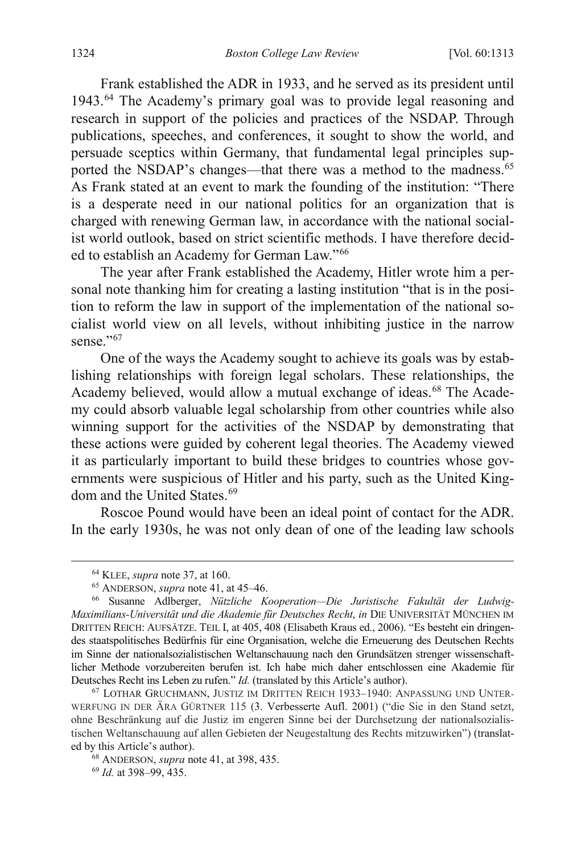Frank established the ADR in 1933, and he served as its president until 1943.[64](#page-12-0) The Academy's primary goal was to provide legal reasoning and research in support of the policies and practices of the NSDAP. Through publications, speeches, and conferences, it sought to show the world, and persuade sceptics within Germany, that fundamental legal principles sup-ported the NSDAP's changes—that there was a method to the madness.<sup>[65](#page-12-1)</sup> As Frank stated at an event to mark the founding of the institution: "There is a desperate need in our national politics for an organization that is charged with renewing German law, in accordance with the national socialist world outlook, based on strict scientific methods. I have therefore decided to establish an Academy for German Law."[66](#page-12-2)

<span id="page-12-6"></span>The year after Frank established the Academy, Hitler wrote him a personal note thanking him for creating a lasting institution "that is in the position to reform the law in support of the implementation of the national socialist world view on all levels, without inhibiting justice in the narrow sense."<sup>[67](#page-12-3)</sup>

One of the ways the Academy sought to achieve its goals was by establishing relationships with foreign legal scholars. These relationships, the Academy believed, would allow a mutual exchange of ideas.<sup>[68](#page-12-4)</sup> The Academy could absorb valuable legal scholarship from other countries while also winning support for the activities of the NSDAP by demonstrating that these actions were guided by coherent legal theories. The Academy viewed it as particularly important to build these bridges to countries whose governments were suspicious of Hitler and his party, such as the United King-dom and the United States.<sup>[69](#page-12-5)</sup>

Roscoe Pound would have been an ideal point of contact for the ADR. In the early 1930s, he was not only dean of one of the leading law schools

 <sup>64</sup> KLEE, *supra* note [37,](#page-7-0) at 160.

<sup>65</sup> ANDERSON, *supra* not[e 41,](#page-8-7) at 45–46.

<span id="page-12-2"></span><span id="page-12-1"></span><span id="page-12-0"></span><sup>66</sup> Susanne Adlberger, *Nützliche Kooperation—Die Juristische Fakultät der Ludwig-Maximilians-Universität und die Akademie für Deutsches Recht*, *in* DIE UNIVERSITÄT MÜNCHEN IM DRITTEN REICH: AUFSÄTZE. TEIL I, at 405, 408 (Elisabeth Kraus ed., 2006). "Es besteht ein dringendes staatspolitisches Bedürfnis für eine Organisation, welche die Erneuerung des Deutschen Rechts im Sinne der nationalsozialistischen Weltanschauung nach den Grundsätzen strenger wissenschaftlicher Methode vorzubereiten berufen ist. Ich habe mich daher entschlossen eine Akademie für Deutsches Recht ins Leben zu rufen." *Id.* (translated by this Article's author).

<span id="page-12-3"></span><sup>67</sup> LOTHAR GRUCHMANN, JUSTIZ IM DRITTEN REICH 1933–1940: ANPASSUNG UND UNTER-WERFUNG IN DER ÄRA GÜRTNER 115 (3. Verbesserte Aufl. 2001) ("die Sie in den Stand setzt, ohne Beschränkung auf die Justiz im engeren Sinne bei der Durchsetzung der nationalsozialistischen Weltanschauung auf allen Gebieten der Neugestaltung des Rechts mitzuwirken") (translated by this Article's author).

<span id="page-12-4"></span><sup>68</sup> ANDERSON, *supra* not[e 41,](#page-8-7) at 398, 435.

<span id="page-12-5"></span><sup>69</sup> *Id.* at 398–99, 435.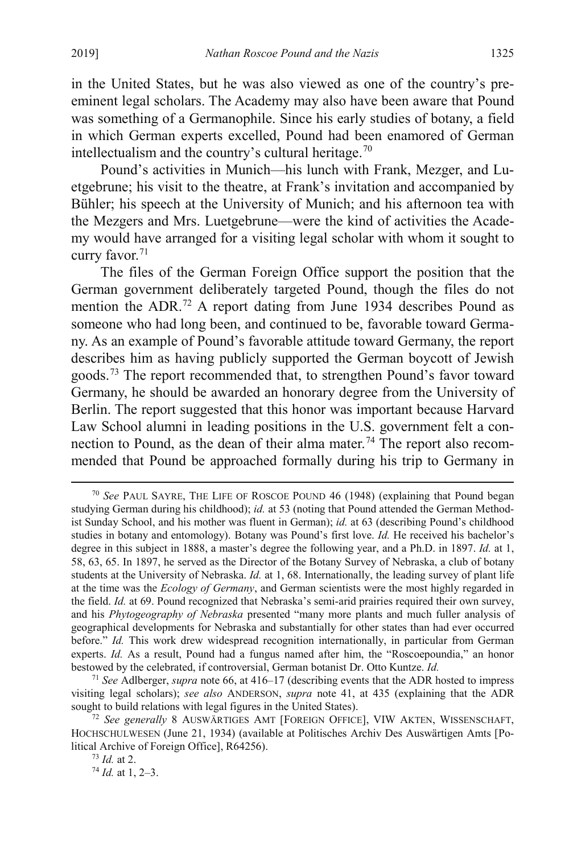in the United States, but he was also viewed as one of the country's preeminent legal scholars. The Academy may also have been aware that Pound

was something of a Germanophile. Since his early studies of botany, a field in which German experts excelled, Pound had been enamored of German intellectualism and the country's cultural heritage.<sup>[70](#page-13-0)</sup>

Pound's activities in Munich—his lunch with Frank, Mezger, and Luetgebrune; his visit to the theatre, at Frank's invitation and accompanied by Bühler; his speech at the University of Munich; and his afternoon tea with the Mezgers and Mrs. Luetgebrune—were the kind of activities the Academy would have arranged for a visiting legal scholar with whom it sought to curry favor. [71](#page-13-1)

The files of the German Foreign Office support the position that the German government deliberately targeted Pound, though the files do not mention the ADR.<sup>[72](#page-13-2)</sup> A report dating from June 1934 describes Pound as someone who had long been, and continued to be, favorable toward Germany. As an example of Pound's favorable attitude toward Germany, the report describes him as having publicly supported the German boycott of Jewish goods.[73](#page-13-3) The report recommended that, to strengthen Pound's favor toward Germany, he should be awarded an honorary degree from the University of Berlin. The report suggested that this honor was important because Harvard Law School alumni in leading positions in the U.S. government felt a connection to Pound, as the dean of their alma mater.<sup>74</sup> The report also recommended that Pound be approached formally during his trip to Germany in

<span id="page-13-1"></span><sup>71</sup> *See* Adlberger, *supra* note [66,](#page-12-6) at 416–17 (describing events that the ADR hosted to impress visiting legal scholars); *see also* ANDERSON, *supra* note [41,](#page-8-7) at 435 (explaining that the ADR sought to build relations with legal figures in the United States).

<span id="page-13-0"></span> <sup>70</sup> *See* PAUL SAYRE, THE LIFE OF ROSCOE POUND 46 (1948) (explaining that Pound began studying German during his childhood); *id.* at 53 (noting that Pound attended the German Methodist Sunday School, and his mother was fluent in German); *id.* at 63 (describing Pound's childhood studies in botany and entomology). Botany was Pound's first love. *Id.* He received his bachelor's degree in this subject in 1888, a master's degree the following year, and a Ph.D. in 1897. *Id.* at 1, 58, 63, 65. In 1897, he served as the Director of the Botany Survey of Nebraska, a club of botany students at the University of Nebraska. *Id.* at 1, 68. Internationally, the leading survey of plant life at the time was the *Ecology of Germany*, and German scientists were the most highly regarded in the field. *Id.* at 69. Pound recognized that Nebraska's semi-arid prairies required their own survey, and his *Phytogeography of Nebraska* presented "many more plants and much fuller analysis of geographical developments for Nebraska and substantially for other states than had ever occurred before." *Id.* This work drew widespread recognition internationally, in particular from German experts. *Id.* As a result, Pound had a fungus named after him, the "Roscoepoundia," an honor bestowed by the celebrated, if controversial, German botanist Dr. Otto Kuntze. *Id.*

<span id="page-13-4"></span><span id="page-13-3"></span><span id="page-13-2"></span><sup>72</sup> *See generally* 8 AUSWÄRTIGES AMT [FOREIGN OFFICE], VIW AKTEN, WISSENSCHAFT, HOCHSCHULWESEN (June 21, 1934) (available at Politisches Archiv Des Auswärtigen Amts [Political Archive of Foreign Office], R64256).

<sup>73</sup> *Id.* at 2.

<sup>74</sup> *Id.* at 1, 2–3.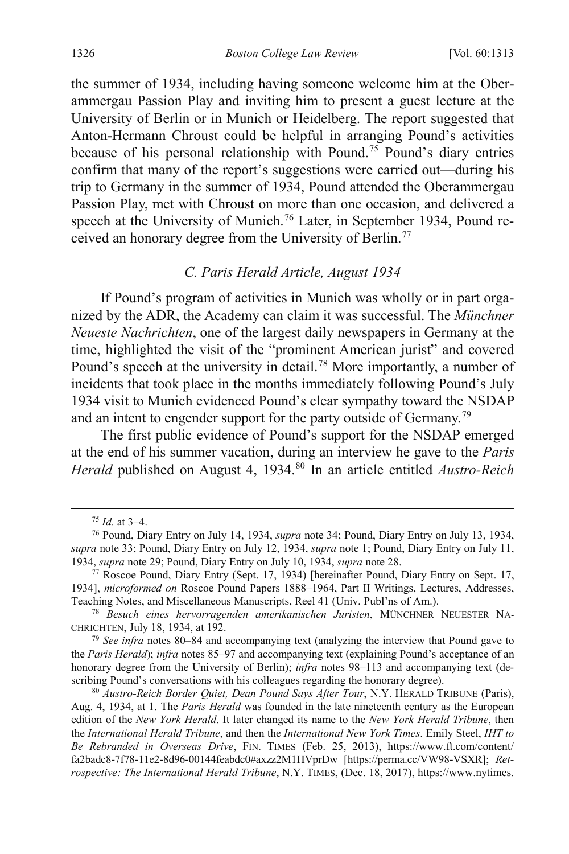the summer of 1934, including having someone welcome him at the Oberammergau Passion Play and inviting him to present a guest lecture at the University of Berlin or in Munich or Heidelberg. The report suggested that Anton-Hermann Chroust could be helpful in arranging Pound's activities because of his personal relationship with Pound.<sup>75</sup> Pound's diary entries confirm that many of the report's suggestions were carried out—during his trip to Germany in the summer of 1934, Pound attended the Oberammergau Passion Play, met with Chroust on more than one occasion, and delivered a speech at the University of Munich.<sup>[76](#page-14-2)</sup> Later, in September 1934, Pound re-ceived an honorary degree from the University of Berlin.<sup>[77](#page-14-3)</sup>

## <span id="page-14-8"></span><span id="page-14-7"></span>*C. Paris Herald Article, August 1934*

If Pound's program of activities in Munich was wholly or in part organized by the ADR, the Academy can claim it was successful. The *Münchner Neueste Nachrichten*, one of the largest daily newspapers in Germany at the time, highlighted the visit of the "prominent American jurist" and covered Pound's speech at the university in detail.<sup>[78](#page-14-4)</sup> More importantly, a number of incidents that took place in the months immediately following Pound's July 1934 visit to Munich evidenced Pound's clear sympathy toward the NSDAP and an intent to engender support for the party outside of Germany.<sup>[79](#page-14-5)</sup>

The first public evidence of Pound's support for the NSDAP emerged at the end of his summer vacation, during an interview he gave to the *Paris Herald* published on August 4, 1934.<sup>[80](#page-14-6)</sup> In an article entitled *Austro-Reich* 

<span id="page-14-0"></span> <sup>75</sup> *Id.* at 3–4.

<span id="page-14-2"></span><span id="page-14-1"></span><sup>76</sup> Pound, Diary Entry on July 14, 1934, *supra* note [34;](#page-6-7) Pound, Diary Entry on July 13, 1934, *supra* not[e 33;](#page-6-8) Pound, Diary Entry on July 12, 1934, *supra* not[e 1;](#page-2-4) Pound, Diary Entry on July 11, 1934, *supra* note 29; Pound, Diary Entry on July 10, 1934, *supra* not[e 28.](#page-5-7) 77 Roscoe Pound, Diary Entry (Sept. 17, 1934) [hereinafter Pound, Diary Entry on Sept. 17,

<span id="page-14-3"></span><sup>1934],</sup> *microformed on* Roscoe Pound Papers 1888–1964, Part II Writings, Lectures, Addresses, Teaching Notes, and Miscellaneous Manuscripts, Reel 41 (Univ. Publ'ns of Am.). 78 *Besuch eines hervorragenden amerikanischen Juristen*, MÜNCHNER NEUESTER NA-

<span id="page-14-4"></span>CHRICHTEN, July 18, 1934, at 192. 79 *See infra* notes [80](#page-14-0)[–84](#page-15-0) and accompanying text (analyzing the interview that Pound gave to

<span id="page-14-5"></span>the *Paris Herald*); *infra* note[s 85](#page-15-2)[–97](#page-17-1) and accompanying text (explaining Pound's acceptance of an honorary degree from the University of Berlin); *infra* notes [98](#page-18-1)-113 and accompanying text (describing Pound's conversations with his colleagues regarding the honorary degree).

<span id="page-14-6"></span><sup>80</sup> *Austro-Reich Border Quiet, Dean Pound Says After Tour*, N.Y. HERALD TRIBUNE (Paris), Aug. 4, 1934, at 1. The *Paris Herald* was founded in the late nineteenth century as the European edition of the *New York Herald*. It later changed its name to the *New York Herald Tribune*, then the *International Herald Tribune*, and then the *International New York Times*. Emily Steel, *IHT to Be Rebranded in Overseas Drive*, FIN. TIMES (Feb. 25, 2013), https://www.ft.com/content/ fa2badc8-7f78-11e2-8d96-00144feabdc0#axzz2M1HVprDw [https://perma.cc/VW98-VSXR]; *Retrospective: The International Herald Tribune*, N.Y. TIMES, (Dec. 18, 2017), https://www.nytimes.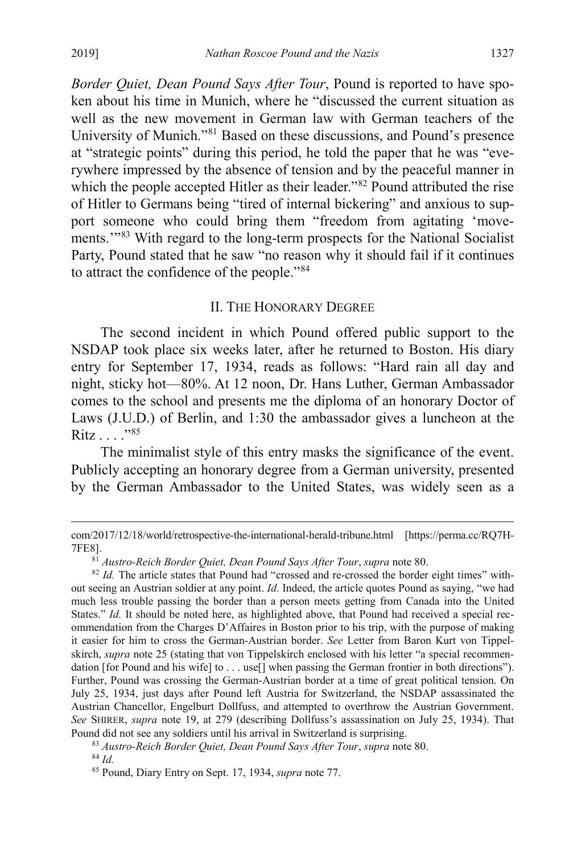*Border Quiet, Dean Pound Says After Tour*, Pound is reported to have spoken about his time in Munich, where he "discussed the current situation as well as the new movement in German law with German teachers of the University of Munich."[81](#page-15-3) Based on these discussions, and Pound's presence at "strategic points" during this period, he told the paper that he was "everywhere impressed by the absence of tension and by the peaceful manner in which the people accepted Hitler as their leader."<sup>82</sup> Pound attributed the rise of Hitler to Germans being "tired of internal bickering" and anxious to support someone who could bring them "freedom from agitating 'move-ments."<sup>[83](#page-15-5)</sup> With regard to the long-term prospects for the National Socialist Party, Pound stated that he saw "no reason why it should fail if it continues to attract the confidence of the people."[84](#page-15-6)

#### <span id="page-15-0"></span>II. THE HONORARY DEGREE

The second incident in which Pound offered public support to the NSDAP took place six weeks later, after he returned to Boston. His diary entry for September 17, 1934, reads as follows: "Hard rain all day and night, sticky hot—80%. At 12 noon, Dr. Hans Luther, German Ambassador comes to the school and presents me the diploma of an honorary Doctor of Laws (J.U.D.) of Berlin, and 1:30 the ambassador gives a luncheon at the Ritz . . . ."[85](#page-15-7)

<span id="page-15-2"></span><span id="page-15-1"></span>The minimalist style of this entry masks the significance of the event. Publicly accepting an honorary degree from a German university, presented by the German Ambassador to the United States, was widely seen as a

com/2017/12/18/world/retrospective-the-international-herald-tribune.html [https://perma.cc/RQ7H-7FE8].

<span id="page-15-4"></span><span id="page-15-3"></span><sup>&</sup>lt;sup>81</sup> *Austro-Reich Border Quiet, Dean Pound Says After Tour, supra* not[e 80.](#page-14-0)<br><sup>82</sup> *Id.* The article states that Pound had "crossed and re-crossed the border eight times" without seeing an Austrian soldier at any point. *Id.* Indeed, the article quotes Pound as saying, "we had much less trouble passing the border than a person meets getting from Canada into the United States." *Id.* It should be noted here, as highlighted above, that Pound had received a special recommendation from the Charges D'Affaires in Boston prior to his trip, with the purpose of making it easier for him to cross the German-Austrian border. *See* Letter from Baron Kurt von Tippelskirch, *supra* note [25](#page-5-8) (stating that von Tippelskirch enclosed with his letter "a special recommendation [for Pound and his wife] to . . . use[] when passing the German frontier in both directions"). Further, Pound was crossing the German-Austrian border at a time of great political tension. On July 25, 1934, just days after Pound left Austria for Switzerland, the NSDAP assassinated the Austrian Chancellor, Engelburt Dollfuss, and attempted to overthrow the Austrian Government. *See* SHIRER, *supra* note [19,](#page-4-0) at 279 (describing Dollfuss's assassination on July 25, 1934). That Pound did not see any soldiers until his arrival in Switzerland is surprising.

<span id="page-15-6"></span><span id="page-15-5"></span><sup>83</sup> *Austro-Reich Border Quiet, Dean Pound Says After Tour*, *supra* not[e 80.](#page-14-0) 84 *Id.*

<span id="page-15-7"></span><sup>85</sup> Pound, Diary Entry on Sept. 17, 1934, *supra* not[e 77.](#page-14-7)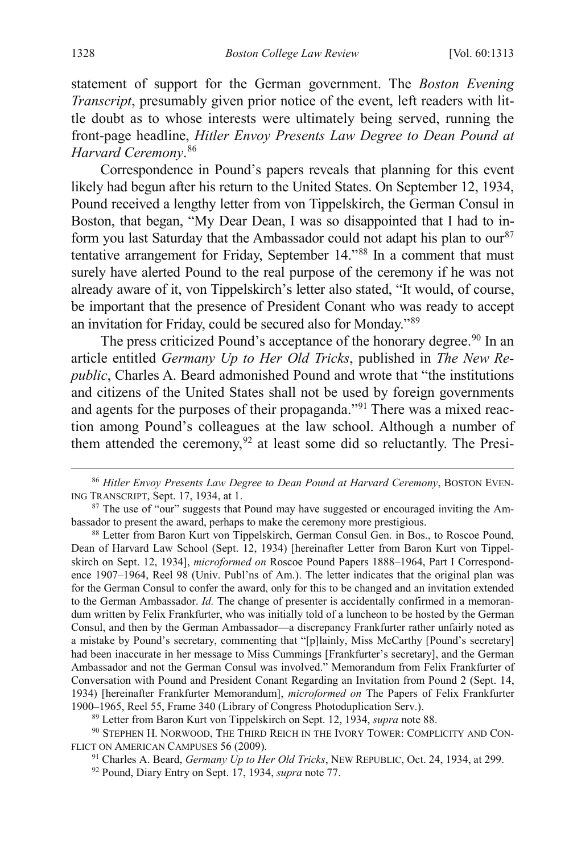statement of support for the German government. The *Boston Evening Transcript*, presumably given prior notice of the event, left readers with little doubt as to whose interests were ultimately being served, running the front-page headline, *Hitler Envoy Presents Law Degree to Dean Pound at Harvard Ceremony*. [86](#page-16-1)

<span id="page-16-8"></span><span id="page-16-0"></span>Correspondence in Pound's papers reveals that planning for this event likely had begun after his return to the United States. On September 12, 1934, Pound received a lengthy letter from von Tippelskirch, the German Consul in Boston, that began, "My Dear Dean, I was so disappointed that I had to inform you last Saturday that the Ambassador could not adapt his plan to  $\text{our}^{87}$  $\text{our}^{87}$  $\text{our}^{87}$ tentative arrangement for Friday, September 14."[88](#page-16-3) In a comment that must surely have alerted Pound to the real purpose of the ceremony if he was not already aware of it, von Tippelskirch's letter also stated, "It would, of course, be important that the presence of President Conant who was ready to accept an invitation for Friday, could be secured also for Monday."[89](#page-16-4)

<span id="page-16-9"></span>The press criticized Pound's acceptance of the honorary degree.<sup>[90](#page-16-5)</sup> In an article entitled *Germany Up to Her Old Tricks*, published in *The New Republic*, Charles A. Beard admonished Pound and wrote that "the institutions and citizens of the United States shall not be used by foreign governments and agents for the purposes of their propaganda."[91](#page-16-6) There was a mixed reaction among Pound's colleagues at the law school. Although a number of them attended the ceremony,  $92$  at least some did so reluctantly. The Presi-

<span id="page-16-1"></span> <sup>86</sup> *Hitler Envoy Presents Law Degree to Dean Pound at Harvard Ceremony*, BOSTON EVEN-ING TRANSCRIPT, Sept. 17, 1934, at 1.

<span id="page-16-2"></span><sup>&</sup>lt;sup>87</sup> The use of "our" suggests that Pound may have suggested or encouraged inviting the Ambassador to present the award, perhaps to make the ceremony more prestigious.

<span id="page-16-3"></span><sup>88</sup> Letter from Baron Kurt von Tippelskirch, German Consul Gen. in Bos., to Roscoe Pound, Dean of Harvard Law School (Sept. 12, 1934) [hereinafter Letter from Baron Kurt von Tippelskirch on Sept. 12, 1934], *microformed on* Roscoe Pound Papers 1888–1964, Part I Correspondence 1907–1964, Reel 98 (Univ. Publ'ns of Am.). The letter indicates that the original plan was for the German Consul to confer the award, only for this to be changed and an invitation extended to the German Ambassador. *Id.* The change of presenter is accidentally confirmed in a memorandum written by Felix Frankfurter, who was initially told of a luncheon to be hosted by the German Consul, and then by the German Ambassador—a discrepancy Frankfurter rather unfairly noted as a mistake by Pound's secretary, commenting that "[p]lainly, Miss McCarthy [Pound's secretary] had been inaccurate in her message to Miss Cummings [Frankfurter's secretary], and the German Ambassador and not the German Consul was involved." Memorandum from Felix Frankfurter of Conversation with Pound and President Conant Regarding an Invitation from Pound 2 (Sept. 14, 1934) [hereinafter Frankfurter Memorandum], *microformed on* The Papers of Felix Frankfurter

<span id="page-16-7"></span><span id="page-16-6"></span><span id="page-16-5"></span><span id="page-16-4"></span><sup>&</sup>lt;sup>89</sup> Letter from Baron Kurt von Tippelskirch on Sept. 12, 1934, *supra* not[e 88.](#page-16-0)<br><sup>90</sup> STEPHEN H. NORWOOD, THE THIRD REICH IN THE IVORY TOWER: COMPLICITY AND CON-FLICT ON AMERICAN CAMPUSES 56 (2009).

<sup>91</sup> Charles A. Beard, *Germany Up to Her Old Tricks*, NEW REPUBLIC, Oct. 24, 1934, at 299.

<sup>92</sup> Pound, Diary Entry on Sept. 17, 1934, *supra* not[e 77.](#page-14-7)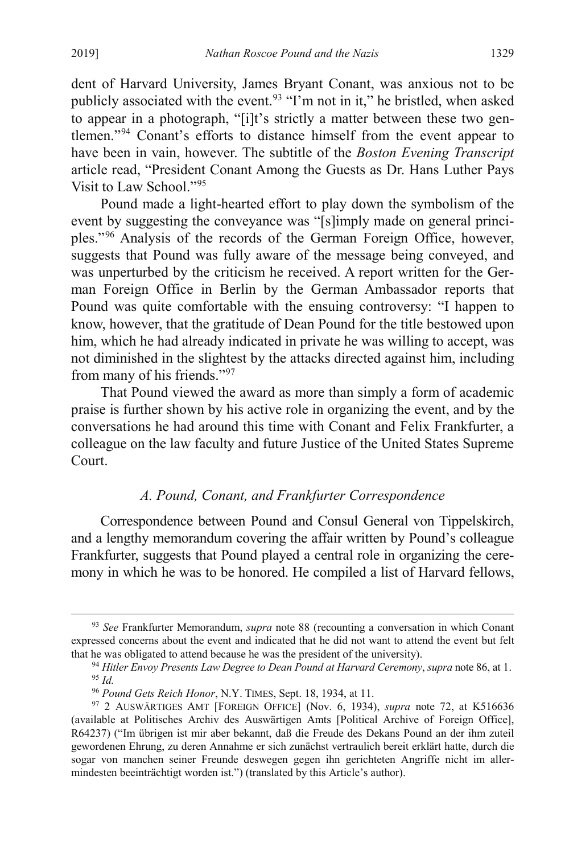dent of Harvard University, James Bryant Conant, was anxious not to be publicly associated with the event.<sup>[93](#page-17-2)</sup> "I'm not in it," he bristled, when asked to appear in a photograph, "[i]t's strictly a matter between these two gentlemen."[94](#page-17-3) Conant's efforts to distance himself from the event appear to have been in vain, however. The subtitle of the *Boston Evening Transcript* article read, "President Conant Among the Guests as Dr. Hans Luther Pays Visit to Law School."[95](#page-17-4)

Pound made a light-hearted effort to play down the symbolism of the event by suggesting the conveyance was "[s]imply made on general principles."[96](#page-17-5) Analysis of the records of the German Foreign Office, however, suggests that Pound was fully aware of the message being conveyed, and was unperturbed by the criticism he received. A report written for the German Foreign Office in Berlin by the German Ambassador reports that Pound was quite comfortable with the ensuing controversy: "I happen to know, however, that the gratitude of Dean Pound for the title bestowed upon him, which he had already indicated in private he was willing to accept, was not diminished in the slightest by the attacks directed against him, including from many of his friends.["97](#page-17-6)

That Pound viewed the award as more than simply a form of academic praise is further shown by his active role in organizing the event, and by the conversations he had around this time with Conant and Felix Frankfurter, a colleague on the law faculty and future Justice of the United States Supreme Court.

## <span id="page-17-1"></span><span id="page-17-0"></span>*A. Pound, Conant, and Frankfurter Correspondence*

Correspondence between Pound and Consul General von Tippelskirch, and a lengthy memorandum covering the affair written by Pound's colleague Frankfurter, suggests that Pound played a central role in organizing the ceremony in which he was to be honored. He compiled a list of Harvard fellows,

<span id="page-17-3"></span><span id="page-17-2"></span> <sup>93</sup> *See* Frankfurter Memorandum, *supra* note [88](#page-16-0) (recounting a conversation in which Conant expressed concerns about the event and indicated that he did not want to attend the event but felt that he was obligated to attend because he was the president of the university).

<sup>94</sup> *Hitler Envoy Presents Law Degree to Dean Pound at Harvard Ceremony*, *supra* not[e 86,](#page-16-8) at 1. <sup>95</sup> Id.<br><sup>96</sup> Pound Gets Reich Honor, N.Y. TIMES, Sept. 18, 1934, at 11.

<span id="page-17-6"></span><span id="page-17-5"></span><span id="page-17-4"></span><sup>&</sup>lt;sup>97</sup> 2 AUSWÄRTIGES AMT [FOREIGN OFFICE] (Nov. 6, 1934), *supra* note 72, at K516636 (available at Politisches Archiv des Auswärtigen Amts [Political Archive of Foreign Office], R64237) ("Im übrigen ist mir aber bekannt, daß die Freude des Dekans Pound an der ihm zuteil gewordenen Ehrung, zu deren Annahme er sich zunächst vertraulich bereit erklärt hatte, durch die sogar von manchen seiner Freunde deswegen gegen ihn gerichteten Angriffe nicht im allermindesten beeinträchtigt worden ist.") (translated by this Article's author).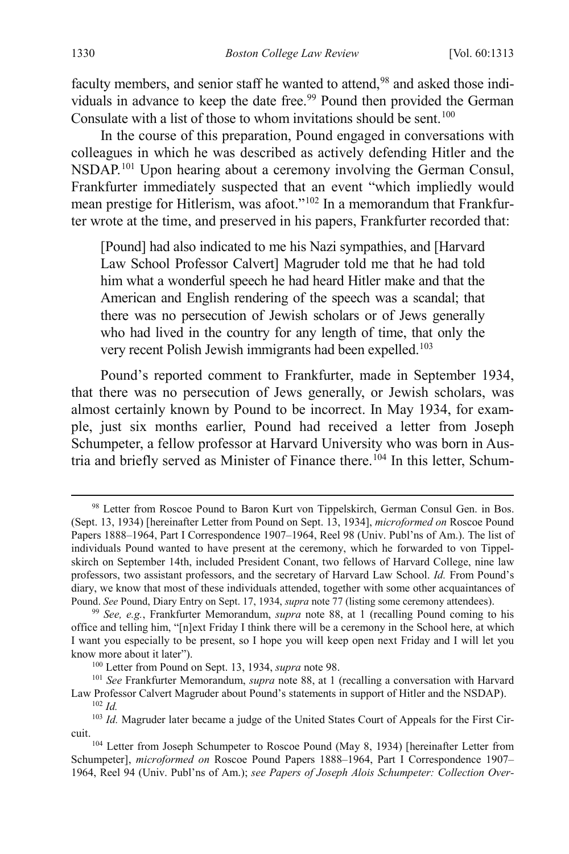<span id="page-18-1"></span>faculty members, and senior staff he wanted to attend,<sup>[98](#page-18-2)</sup> and asked those indi-viduals in advance to keep the date free.<sup>[99](#page-18-3)</sup> Pound then provided the German Consulate with a list of those to whom invitations should be sent.<sup>[100](#page-18-4)</sup>

<span id="page-18-0"></span>In the course of this preparation, Pound engaged in conversations with colleagues in which he was described as actively defending Hitler and the NSDAP.[101](#page-18-5) Upon hearing about a ceremony involving the German Consul, Frankfurter immediately suspected that an event "which impliedly would mean prestige for Hitlerism, was afoot."<sup>[102](#page-18-6)</sup> In a memorandum that Frankfurter wrote at the time, and preserved in his papers, Frankfurter recorded that:

[Pound] had also indicated to me his Nazi sympathies, and [Harvard Law School Professor Calvert] Magruder told me that he had told him what a wonderful speech he had heard Hitler make and that the American and English rendering of the speech was a scandal; that there was no persecution of Jewish scholars or of Jews generally who had lived in the country for any length of time, that only the very recent Polish Jewish immigrants had been expelled.<sup>103</sup>

Pound's reported comment to Frankfurter, made in September 1934, that there was no persecution of Jews generally, or Jewish scholars, was almost certainly known by Pound to be incorrect. In May 1934, for example, just six months earlier, Pound had received a letter from Joseph Schumpeter, a fellow professor at Harvard University who was born in Aus-tria and briefly served as Minister of Finance there.<sup>[104](#page-18-8)</sup> In this letter, Schum-

<span id="page-18-5"></span><span id="page-18-4"></span><sup>101</sup> See Frankfurter Memorandum, *supra* note [88,](#page-16-0) at 1 (recalling a conversation with Harvard Law Professor Calvert Magruder about Pound's statements in support of Hitler and the NSDAP). 102 *Id.*

<span id="page-18-9"></span><span id="page-18-2"></span><sup>98</sup> Letter from Roscoe Pound to Baron Kurt von Tippelskirch, German Consul Gen. in Bos. (Sept. 13, 1934) [hereinafter Letter from Pound on Sept. 13, 1934], *microformed on* Roscoe Pound Papers 1888–1964, Part I Correspondence 1907–1964, Reel 98 (Univ. Publ'ns of Am.). The list of individuals Pound wanted to have present at the ceremony, which he forwarded to von Tippelskirch on September 14th, included President Conant, two fellows of Harvard College, nine law professors, two assistant professors, and the secretary of Harvard Law School. *Id.* From Pound's diary, we know that most of these individuals attended, together with some other acquaintances of Pound. *See* Pound, Diary Entry on Sept. 17, 1934, *supra* not[e 77](#page-14-7) (listing some ceremony attendees).

<span id="page-18-3"></span><sup>99</sup> *See, e.g.*, Frankfurter Memorandum, *supra* note [88,](#page-16-0) at 1 (recalling Pound coming to his office and telling him, "[n]ext Friday I think there will be a ceremony in the School here, at which I want you especially to be present, so I hope you will keep open next Friday and I will let you know more about it later").<br><sup>100</sup> Letter from Pound on Sept. 13, 1934, *supra* note 98.

<span id="page-18-7"></span><span id="page-18-6"></span><sup>&</sup>lt;sup>103</sup> *Id.* Magruder later became a judge of the United States Court of Appeals for the First Circuit.

<span id="page-18-8"></span><sup>104</sup> Letter from Joseph Schumpeter to Roscoe Pound (May 8, 1934) [hereinafter Letter from Schumpeter], *microformed on* Roscoe Pound Papers 1888–1964, Part I Correspondence 1907– 1964, Reel 94 (Univ. Publ'ns of Am.); *see Papers of Joseph Alois Schumpeter: Collection Over-*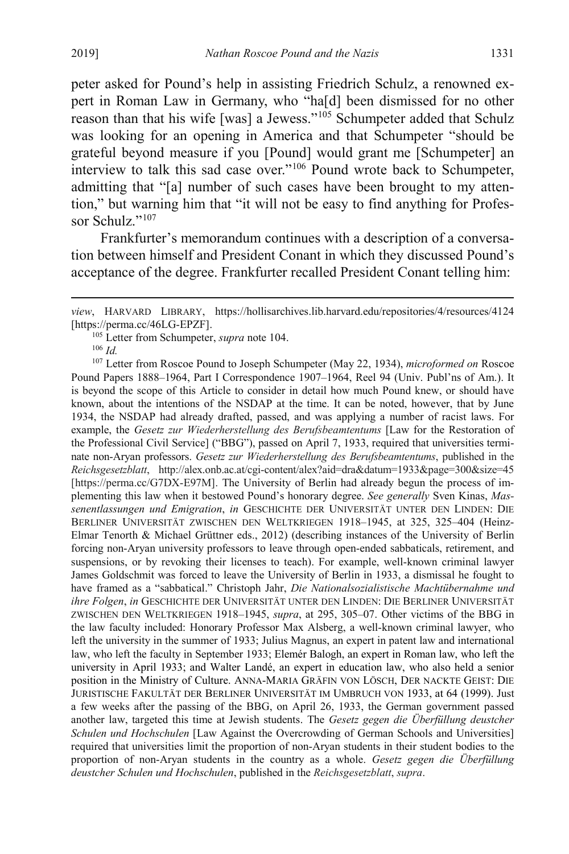peter asked for Pound's help in assisting Friedrich Schulz, a renowned expert in Roman Law in Germany, who "ha[d] been dismissed for no other reason than that his wife [was] a Jewess.["105](#page-19-0) Schumpeter added that Schulz was looking for an opening in America and that Schumpeter "should be grateful beyond measure if you [Pound] would grant me [Schumpeter] an interview to talk this sad case over."[106](#page-19-1) Pound wrote back to Schumpeter, admitting that "[a] number of such cases have been brought to my attention," but warning him that "it will not be easy to find anything for Profes-sor Schulz."<sup>[107](#page-19-2)</sup>

Frankfurter's memorandum continues with a description of a conversation between himself and President Conant in which they discussed Pound's acceptance of the degree. Frankfurter recalled President Conant telling him:

<sup>106</sup> *Id.*

 $\overline{a}$ 

<span id="page-19-2"></span><span id="page-19-1"></span><span id="page-19-0"></span><sup>107</sup> Letter from Roscoe Pound to Joseph Schumpeter (May 22, 1934), *microformed on* Roscoe Pound Papers 1888–1964, Part I Correspondence 1907–1964, Reel 94 (Univ. Publ'ns of Am.). It is beyond the scope of this Article to consider in detail how much Pound knew, or should have known, about the intentions of the NSDAP at the time. It can be noted, however, that by June 1934, the NSDAP had already drafted, passed, and was applying a number of racist laws. For example, the *Gesetz zur Wiederherstellung des Berufsbeamtentums* [Law for the Restoration of the Professional Civil Service] ("BBG"), passed on April 7, 1933, required that universities terminate non-Aryan professors. *Gesetz zur Wiederherstellung des Berufsbeamtentums*, published in the *Reichsgesetzblatt*, http://alex.onb.ac.at/cgi-content/alex?aid=dra&datum=1933&page=300&size=45 [https://perma.cc/G7DX-E97M]. The University of Berlin had already begun the process of implementing this law when it bestowed Pound's honorary degree. *See generally* Sven Kinas, *Massenentlassungen und Emigration*, *in* GESCHICHTE DER UNIVERSITÄT UNTER DEN LINDEN: DIE BERLINER UNIVERSITÄT ZWISCHEN DEN WELTKRIEGEN 1918–1945, at 325, 325–404 (Heinz-Elmar Tenorth & Michael Grüttner eds., 2012) (describing instances of the University of Berlin forcing non-Aryan university professors to leave through open-ended sabbaticals, retirement, and suspensions, or by revoking their licenses to teach). For example, well-known criminal lawyer James Goldschmit was forced to leave the University of Berlin in 1933, a dismissal he fought to have framed as a "sabbatical." Christoph Jahr, *Die Nationalsozialistische Machtübernahme und ihre Folgen*, *in* GESCHICHTE DER UNIVERSITÄT UNTER DEN LINDEN: DIE BERLINER UNIVERSITÄT ZWISCHEN DEN WELTKRIEGEN 1918–1945, *supra*, at 295, 305–07. Other victims of the BBG in the law faculty included: Honorary Professor Max Alsberg, a well-known criminal lawyer, who left the university in the summer of 1933; Julius Magnus, an expert in patent law and international law, who left the faculty in September 1933; Elemér Balogh, an expert in Roman law, who left the university in April 1933; and Walter Landé, an expert in education law, who also held a senior position in the Ministry of Culture. ANNA-MARIA GRÄFIN VON LÖSCH, DER NACKTE GEIST: DIE JURISTISCHE FAKULTÄT DER BERLINER UNIVERSITÄT IM UMBRUCH VON 1933, at 64 (1999). Just a few weeks after the passing of the BBG, on April 26, 1933, the German government passed another law, targeted this time at Jewish students. The *Gesetz gegen die Überfüllung deustcher Schulen und Hochschulen* [Law Against the Overcrowding of German Schools and Universities] required that universities limit the proportion of non-Aryan students in their student bodies to the proportion of non-Aryan students in the country as a whole. *Gesetz gegen die Überfüllung deustcher Schulen und Hochschulen*, published in the *Reichsgesetzblatt*, *supra*.

*view*, HARVARD LIBRARY, https://hollisarchives.lib.harvard.edu/repositories/4/resources/4124 [https://perma.cc/46LG-EPZF].

<sup>105</sup> Letter from Schumpeter, *supra* not[e 104.](#page-18-9)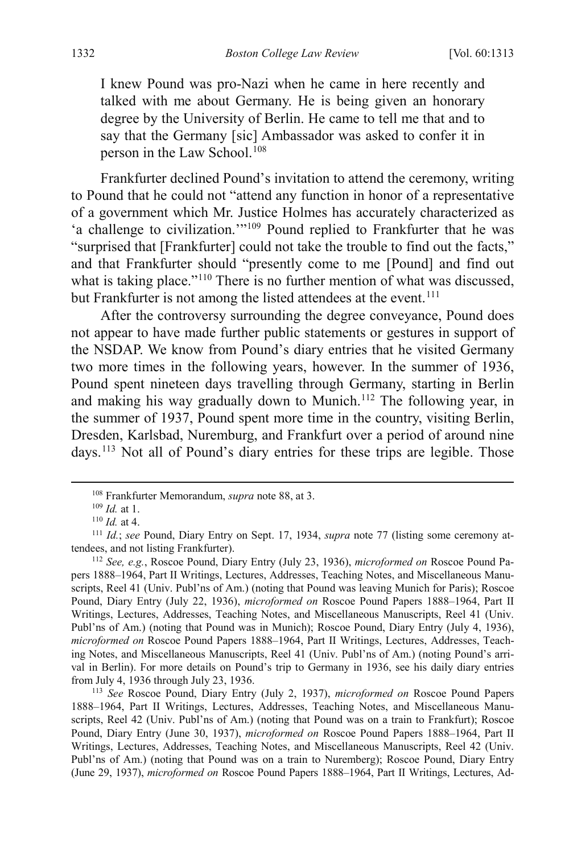I knew Pound was pro-Nazi when he came in here recently and talked with me about Germany. He is being given an honorary degree by the University of Berlin. He came to tell me that and to say that the Germany [sic] Ambassador was asked to confer it in person in the Law School.<sup>[108](#page-20-2)</sup>

Frankfurter declined Pound's invitation to attend the ceremony, writing to Pound that he could not "attend any function in honor of a representative of a government which Mr. Justice Holmes has accurately characterized as 'a challenge to civilization.'"[109](#page-20-3) Pound replied to Frankfurter that he was "surprised that [Frankfurter] could not take the trouble to find out the facts," and that Frankfurter should "presently come to me [Pound] and find out what is taking place."<sup>110</sup> There is no further mention of what was discussed, but Frankfurter is not among the listed attendees at the event.<sup>[111](#page-20-5)</sup>

<span id="page-20-0"></span>After the controversy surrounding the degree conveyance, Pound does not appear to have made further public statements or gestures in support of the NSDAP. We know from Pound's diary entries that he visited Germany two more times in the following years, however. In the summer of 1936, Pound spent nineteen days travelling through Germany, starting in Berlin and making his way gradually down to Munich.<sup>[112](#page-20-6)</sup> The following year, in the summer of 1937, Pound spent more time in the country, visiting Berlin, Dresden, Karlsbad, Nuremburg, and Frankfurt over a period of around nine days.[113](#page-20-7) Not all of Pound's diary entries for these trips are legible. Those

<span id="page-20-7"></span><sup>113</sup> *See* Roscoe Pound, Diary Entry (July 2, 1937), *microformed on* Roscoe Pound Papers 1888–1964, Part II Writings, Lectures, Addresses, Teaching Notes, and Miscellaneous Manuscripts, Reel 42 (Univ. Publ'ns of Am.) (noting that Pound was on a train to Frankfurt); Roscoe Pound, Diary Entry (June 30, 1937), *microformed on* Roscoe Pound Papers 1888–1964, Part II Writings, Lectures, Addresses, Teaching Notes, and Miscellaneous Manuscripts, Reel 42 (Univ. Publ'ns of Am.) (noting that Pound was on a train to Nuremberg); Roscoe Pound, Diary Entry (June 29, 1937), *microformed on* Roscoe Pound Papers 1888–1964, Part II Writings, Lectures, Ad-

<span id="page-20-1"></span><sup>&</sup>lt;sup>108</sup> Frankfurter Memorandum, *supra* not[e 88,](#page-16-0) at 3.<br><sup>109</sup> *Id.* at 1.<br><sup>110</sup> *Id.* at 4.

<span id="page-20-5"></span><span id="page-20-4"></span><span id="page-20-3"></span><span id="page-20-2"></span><sup>&</sup>lt;sup>111</sup> *Id.*; *see* Pound, Diary Entry on Sept. 17, 1934, *supra* note [77](#page-14-7) (listing some ceremony attendees, and not listing Frankfurter). 112 *See, e.g.*, Roscoe Pound, Diary Entry (July 23, 1936), *microformed on* Roscoe Pound Pa-

<span id="page-20-6"></span>pers 1888–1964, Part II Writings, Lectures, Addresses, Teaching Notes, and Miscellaneous Manuscripts, Reel 41 (Univ. Publ'ns of Am.) (noting that Pound was leaving Munich for Paris); Roscoe Pound, Diary Entry (July 22, 1936), *microformed on* Roscoe Pound Papers 1888–1964, Part II Writings, Lectures, Addresses, Teaching Notes, and Miscellaneous Manuscripts, Reel 41 (Univ. Publ'ns of Am.) (noting that Pound was in Munich); Roscoe Pound, Diary Entry (July 4, 1936), *microformed on* Roscoe Pound Papers 1888–1964, Part II Writings, Lectures, Addresses, Teaching Notes, and Miscellaneous Manuscripts, Reel 41 (Univ. Publ'ns of Am.) (noting Pound's arrival in Berlin). For more details on Pound's trip to Germany in 1936, see his daily diary entries from July 4, 1936 through July 23, 1936.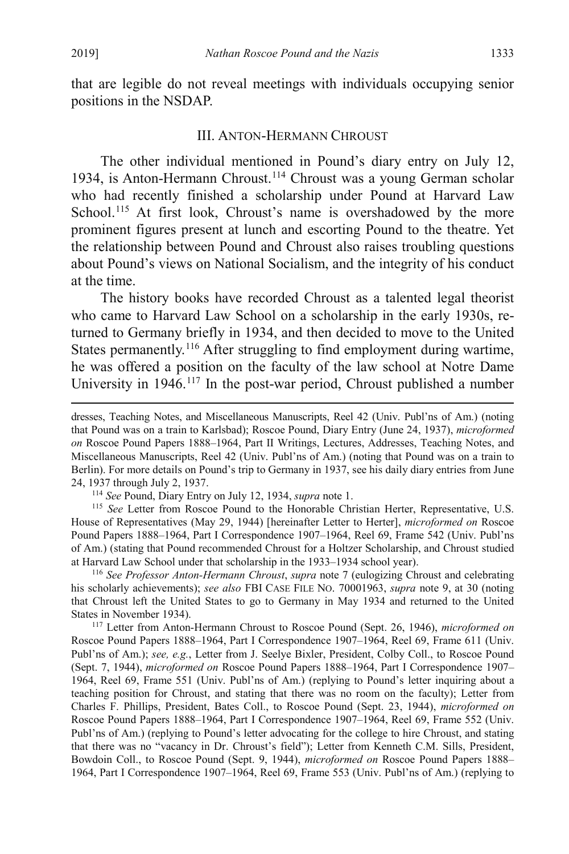that are legible do not reveal meetings with individuals occupying senior positions in the NSDAP.

## <span id="page-21-0"></span>III. ANTON-HERMANN CHROUST

<span id="page-21-5"></span>The other individual mentioned in Pound's diary entry on July 12, 1934, is Anton-Hermann Chroust.[114](#page-21-1) Chroust was a young German scholar who had recently finished a scholarship under Pound at Harvard Law School.<sup>[115](#page-21-2)</sup> At first look, Chroust's name is overshadowed by the more prominent figures present at lunch and escorting Pound to the theatre. Yet the relationship between Pound and Chroust also raises troubling questions about Pound's views on National Socialism, and the integrity of his conduct at the time.

The history books have recorded Chroust as a talented legal theorist who came to Harvard Law School on a scholarship in the early 1930s, returned to Germany briefly in 1934, and then decided to move to the United States permanently.<sup>[116](#page-21-3)</sup> After struggling to find employment during wartime, he was offered a position on the faculty of the law school at Notre Dame University in 1946.<sup>[117](#page-21-4)</sup> In the post-war period, Chroust published a number

<span id="page-21-2"></span><span id="page-21-1"></span><sup>114</sup> *See* Pound, Diary Entry on July 12, 1934, *supra* note [1.](#page-2-4)<br><sup>115</sup> *See* Letter from Roscoe Pound to the Honorable Christian Herter, Representative, U.S. House of Representatives (May 29, 1944) [hereinafter Letter to Herter], *microformed on* Roscoe Pound Papers 1888–1964, Part I Correspondence 1907–1964, Reel 69, Frame 542 (Univ. Publ'ns of Am.) (stating that Pound recommended Chroust for a Holtzer Scholarship, and Chroust studied at Harvard Law School under that scholarship in the 1933–1934 school year).

<span id="page-21-3"></span><sup>116</sup> *See Professor Anton-Hermann Chroust*, *supra* note [7](#page-3-9) (eulogizing Chroust and celebrating his scholarly achievements); *see also* FBI CASE FILE NO. 70001963, *supra* note [9,](#page-3-10) at 30 (noting that Chroust left the United States to go to Germany in May 1934 and returned to the United States in November 1934).

<span id="page-21-4"></span><sup>117</sup> Letter from Anton-Hermann Chroust to Roscoe Pound (Sept. 26, 1946), *microformed on* Roscoe Pound Papers 1888–1964, Part I Correspondence 1907–1964, Reel 69, Frame 611 (Univ. Publ'ns of Am.); *see, e.g.*, Letter from J. Seelye Bixler, President, Colby Coll., to Roscoe Pound (Sept. 7, 1944), *microformed on* Roscoe Pound Papers 1888–1964, Part I Correspondence 1907– 1964, Reel 69, Frame 551 (Univ. Publ'ns of Am.) (replying to Pound's letter inquiring about a teaching position for Chroust, and stating that there was no room on the faculty); Letter from Charles F. Phillips, President, Bates Coll., to Roscoe Pound (Sept. 23, 1944), *microformed on* Roscoe Pound Papers 1888–1964, Part I Correspondence 1907–1964, Reel 69, Frame 552 (Univ. Publ'ns of Am.) (replying to Pound's letter advocating for the college to hire Chroust, and stating that there was no "vacancy in Dr. Chroust's field"); Letter from Kenneth C.M. Sills, President, Bowdoin Coll., to Roscoe Pound (Sept. 9, 1944), *microformed on* Roscoe Pound Papers 1888– 1964, Part I Correspondence 1907–1964, Reel 69, Frame 553 (Univ. Publ'ns of Am.) (replying to

dresses, Teaching Notes, and Miscellaneous Manuscripts, Reel 42 (Univ. Publ'ns of Am.) (noting that Pound was on a train to Karlsbad); Roscoe Pound, Diary Entry (June 24, 1937), *microformed on* Roscoe Pound Papers 1888–1964, Part II Writings, Lectures, Addresses, Teaching Notes, and Miscellaneous Manuscripts, Reel 42 (Univ. Publ'ns of Am.) (noting that Pound was on a train to Berlin). For more details on Pound's trip to Germany in 1937, see his daily diary entries from June 24, 1937 through July 2, 1937.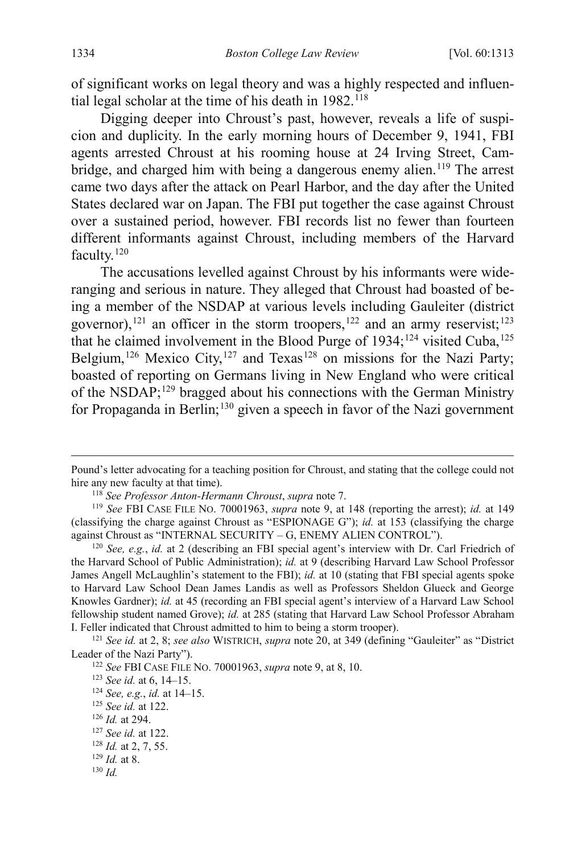<span id="page-22-0"></span>of significant works on legal theory and was a highly respected and influential legal scholar at the time of his death in  $1982$ .<sup>[118](#page-22-4)</sup>

<span id="page-22-2"></span>Digging deeper into Chroust's past, however, reveals a life of suspicion and duplicity. In the early morning hours of December 9, 1941, FBI agents arrested Chroust at his rooming house at 24 Irving Street, Cam-bridge, and charged him with being a dangerous enemy alien.<sup>[119](#page-22-5)</sup> The arrest came two days after the attack on Pearl Harbor, and the day after the United States declared war on Japan. The FBI put together the case against Chroust over a sustained period, however. FBI records list no fewer than fourteen different informants against Chroust, including members of the Harvard faculty.<sup>[120](#page-22-6)</sup>

<span id="page-22-3"></span><span id="page-22-1"></span>The accusations levelled against Chroust by his informants were wideranging and serious in nature. They alleged that Chroust had boasted of being a member of the NSDAP at various levels including Gauleiter (district governor),<sup>[121](#page-22-7)</sup> an officer in the storm troopers,<sup>122</sup> and an army reservist;<sup>[123](#page-22-9)</sup> that he claimed involvement in the Blood Purge of  $1934$ ;<sup>[124](#page-22-10)</sup> visited Cuba,<sup>[125](#page-22-11)</sup> Belgium,<sup>[126](#page-22-12)</sup> Mexico City,<sup>[127](#page-22-13)</sup> and Texas<sup>[128](#page-22-14)</sup> on missions for the Nazi Party; boasted of reporting on Germans living in New England who were critical of the NSDAP;[129](#page-22-15) bragged about his connections with the German Ministry for Propaganda in Berlin;<sup>[130](#page-22-16)</sup> given a speech in favor of the Nazi government

Pound's letter advocating for a teaching position for Chroust, and stating that the college could not hire any new faculty at that time).

<span id="page-22-5"></span><span id="page-22-4"></span><sup>118</sup> *See Professor Anton-Hermann Chroust*, *supra* note [7.](#page-3-9) 119 *See* FBI CASE FILE NO. 70001963, *supra* note [9,](#page-3-10) at 148 (reporting the arrest); *id.* at 149 (classifying the charge against Chroust as "ESPIONAGE G"); *id.* at 153 (classifying the charge against Chroust as "INTERNAL SECURITY – G, ENEMY ALIEN CONTROL").

<span id="page-22-6"></span><sup>120</sup> *See, e.g.*, *id.* at 2 (describing an FBI special agent's interview with Dr. Carl Friedrich of the Harvard School of Public Administration); *id.* at 9 (describing Harvard Law School Professor James Angell McLaughlin's statement to the FBI); *id.* at 10 (stating that FBI special agents spoke to Harvard Law School Dean James Landis as well as Professors Sheldon Glueck and George Knowles Gardner); *id.* at 45 (recording an FBI special agent's interview of a Harvard Law School fellowship student named Grove); *id.* at 285 (stating that Harvard Law School Professor Abraham

<span id="page-22-9"></span><span id="page-22-8"></span><span id="page-22-7"></span>I. Feller indicated that Chroust admitted to him to being a storm trooper). 121 *See id.* at 2, 8; *see also* WISTRICH, *supra* note [20,](#page-4-1) at 349 (defining "Gauleiter" as "District

<sup>&</sup>lt;sup>122</sup> *See* FBI CASE FILE No. 70001963, *supra* not[e 9,](#page-3-10) at 8, 10.<br><sup>123</sup> *See id.* at 6, 14–15.

<span id="page-22-10"></span><sup>123</sup> *See id.* at 6, 14–15. 124 *See, e.g.*, *id.* at 14–15.

<span id="page-22-11"></span><sup>125</sup> *See id.* at 122.

<span id="page-22-12"></span><sup>126</sup> *Id.* at 294.

<span id="page-22-13"></span><sup>127</sup> *See id.* at 122.

<span id="page-22-14"></span><sup>128</sup> *Id.* at 2, 7, 55.

<span id="page-22-15"></span> $129$  *Id.* at 8.

<span id="page-22-16"></span><sup>130</sup> *Id.*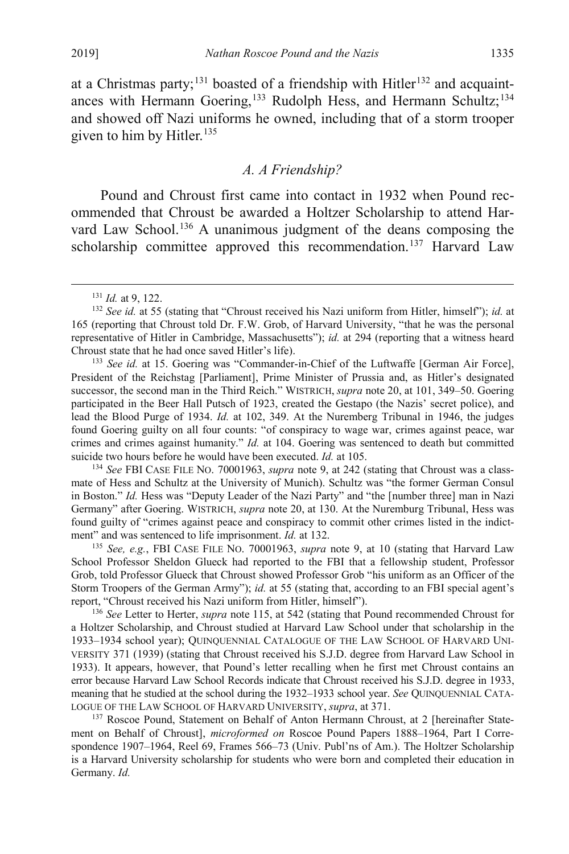at a Christmas party;<sup>[131](#page-23-2)</sup> boasted of a friendship with Hitler<sup>[132](#page-23-3)</sup> and acquaint-ances with Hermann Goering,<sup>[133](#page-23-4)</sup> Rudolph Hess, and Hermann Schultz;<sup>[134](#page-23-5)</sup> and showed off Nazi uniforms he owned, including that of a storm trooper given to him by Hitler.<sup>135</sup>

## <span id="page-23-9"></span><span id="page-23-1"></span><span id="page-23-0"></span>*A. A Friendship?*

Pound and Chroust first came into contact in 1932 when Pound recommended that Chroust be awarded a Holtzer Scholarship to attend Harvard Law School.<sup>136</sup> A unanimous judgment of the deans composing the scholarship committee approved this recommendation.<sup>[137](#page-23-8)</sup> Harvard Law

<span id="page-23-4"></span><sup>133</sup> *See id.* at 15. Goering was "Commander-in-Chief of the Luftwaffe [German Air Force], President of the Reichstag [Parliament], Prime Minister of Prussia and, as Hitler's designated successor, the second man in the Third Reich." WISTRICH, *supra* not[e 20,](#page-4-1) at 101, 349–50. Goering participated in the Beer Hall Putsch of 1923, created the Gestapo (the Nazis' secret police), and lead the Blood Purge of 1934. *Id.* at 102, 349. At the Nuremberg Tribunal in 1946, the judges found Goering guilty on all four counts: "of conspiracy to wage war, crimes against peace, war crimes and crimes against humanity." *Id.* at 104. Goering was sentenced to death but committed suicide two hours before he would have been executed. *Id.* at 105.

<span id="page-23-5"></span><sup>134</sup> *See* FBI CASE FILE NO. 70001963, *supra* note [9,](#page-3-10) at 242 (stating that Chroust was a classmate of Hess and Schultz at the University of Munich). Schultz was "the former German Consul in Boston." *Id.* Hess was "Deputy Leader of the Nazi Party" and "the [number three] man in Nazi Germany" after Goering. WISTRICH, *supra* not[e 20,](#page-4-1) at 130. At the Nuremburg Tribunal, Hess was found guilty of "crimes against peace and conspiracy to commit other crimes listed in the indictment" and was sentenced to life imprisonment. *Id.* at 132.

<span id="page-23-6"></span><sup>135</sup> *See, e.g.*, FBI CASE FILE NO. 70001963, *supra* note [9,](#page-3-10) at 10 (stating that Harvard Law School Professor Sheldon Glueck had reported to the FBI that a fellowship student, Professor Grob, told Professor Glueck that Chroust showed Professor Grob "his uniform as an Officer of the Storm Troopers of the German Army"); *id.* at 55 (stating that, according to an FBI special agent's report, "Chroust received his Nazi uniform from Hitler, himself").

<span id="page-23-7"></span><sup>136</sup> *See* Letter to Herter, *supra* note [115,](#page-21-5) at 542 (stating that Pound recommended Chroust for a Holtzer Scholarship, and Chroust studied at Harvard Law School under that scholarship in the 1933–1934 school year); QUINQUENNIAL CATALOGUE OF THE LAW SCHOOL OF HARVARD UNI-VERSITY 371 (1939) (stating that Chroust received his S.J.D. degree from Harvard Law School in 1933). It appears, however, that Pound's letter recalling when he first met Chroust contains an error because Harvard Law School Records indicate that Chroust received his S.J.D. degree in 1933, meaning that he studied at the school during the 1932–1933 school year. *See* QUINQUENNIAL CATA-LOGUE OF THE LAW SCHOOL OF HARVARD UNIVERSITY, *supra*, at 371.

<span id="page-23-8"></span><sup>137</sup> Roscoe Pound, Statement on Behalf of Anton Hermann Chroust, at 2 [hereinafter Statement on Behalf of Chroust], *microformed on* Roscoe Pound Papers 1888–1964, Part I Correspondence 1907–1964, Reel 69, Frames 566–73 (Univ. Publ'ns of Am.). The Holtzer Scholarship is a Harvard University scholarship for students who were born and completed their education in Germany. *Id.*

 <sup>131</sup> *Id.* at 9, 122.

<span id="page-23-3"></span><span id="page-23-2"></span><sup>132</sup> *See id.* at 55 (stating that "Chroust received his Nazi uniform from Hitler, himself"); *id.* at 165 (reporting that Chroust told Dr. F.W. Grob, of Harvard University, "that he was the personal representative of Hitler in Cambridge, Massachusetts"); *id.* at 294 (reporting that a witness heard Chroust state that he had once saved Hitler's life).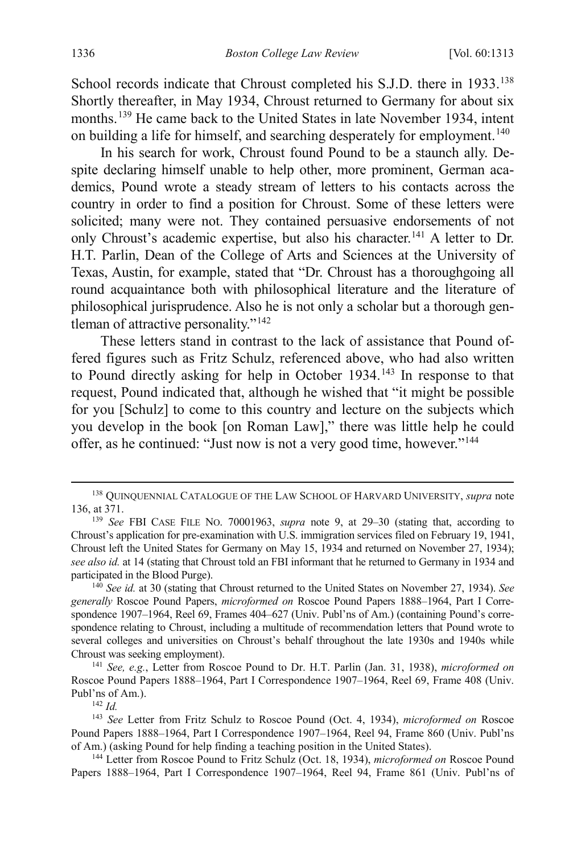School records indicate that Chroust completed his S.J.D. there in 1933.<sup>[138](#page-24-1)</sup> Shortly thereafter, in May 1934, Chroust returned to Germany for about six months.<sup>[139](#page-24-2)</sup> He came back to the United States in late November 1934, intent on building a life for himself, and searching desperately for employment.<sup>[140](#page-24-3)</sup>

<span id="page-24-0"></span>In his search for work, Chroust found Pound to be a staunch ally. Despite declaring himself unable to help other, more prominent, German academics, Pound wrote a steady stream of letters to his contacts across the country in order to find a position for Chroust. Some of these letters were solicited; many were not. They contained persuasive endorsements of not only Chroust's academic expertise, but also his character.<sup>141</sup> A letter to Dr. H.T. Parlin, Dean of the College of Arts and Sciences at the University of Texas, Austin, for example, stated that "Dr. Chroust has a thoroughgoing all round acquaintance both with philosophical literature and the literature of philosophical jurisprudence. Also he is not only a scholar but a thorough gentleman of attractive personality."[142](#page-24-5)

These letters stand in contrast to the lack of assistance that Pound offered figures such as Fritz Schulz, referenced above, who had also written to Pound directly asking for help in October 1934.<sup>[143](#page-24-6)</sup> In response to that request, Pound indicated that, although he wished that "it might be possible for you [Schulz] to come to this country and lecture on the subjects which you develop in the book [on Roman Law]," there was little help he could offer, as he continued: "Just now is not a very good time, however."[144](#page-24-7)

<span id="page-24-1"></span> <sup>138</sup> QUINQUENNIAL CATALOGUE OF THE LAW SCHOOL OF HARVARD UNIVERSITY, *supra* note [136,](#page-23-1) at 371.

<span id="page-24-2"></span><sup>139</sup> *See* FBI CASE FILE NO. 70001963, *supra* note [9,](#page-3-10) at 29–30 (stating that, according to Chroust's application for pre-examination with U.S. immigration services filed on February 19, 1941, Chroust left the United States for Germany on May 15, 1934 and returned on November 27, 1934); *see also id.* at 14 (stating that Chroust told an FBI informant that he returned to Germany in 1934 and participated in the Blood Purge).

<span id="page-24-3"></span><sup>140</sup> *See id.* at 30 (stating that Chroust returned to the United States on November 27, 1934). *See generally* Roscoe Pound Papers, *microformed on* Roscoe Pound Papers 1888–1964, Part I Correspondence 1907–1964, Reel 69, Frames 404–627 (Univ. Publ'ns of Am.) (containing Pound's correspondence relating to Chroust, including a multitude of recommendation letters that Pound wrote to several colleges and universities on Chroust's behalf throughout the late 1930s and 1940s while Chroust was seeking employment).

<span id="page-24-4"></span><sup>141</sup> *See, e.g.*, Letter from Roscoe Pound to Dr. H.T. Parlin (Jan. 31, 1938), *microformed on* Roscoe Pound Papers 1888–1964, Part I Correspondence 1907–1964, Reel 69, Frame 408 (Univ. Publ'ns of Am.). 142 *Id.*

<span id="page-24-6"></span><span id="page-24-5"></span><sup>143</sup> *See* Letter from Fritz Schulz to Roscoe Pound (Oct. 4, 1934), *microformed on* Roscoe Pound Papers 1888–1964, Part I Correspondence 1907–1964, Reel 94, Frame 860 (Univ. Publ'ns of Am.) (asking Pound for help finding a teaching position in the United States). 144 Letter from Roscoe Pound to Fritz Schulz (Oct. 18, 1934), *microformed on* Roscoe Pound

<span id="page-24-7"></span>Papers 1888–1964, Part I Correspondence 1907–1964, Reel 94, Frame 861 (Univ. Publ'ns of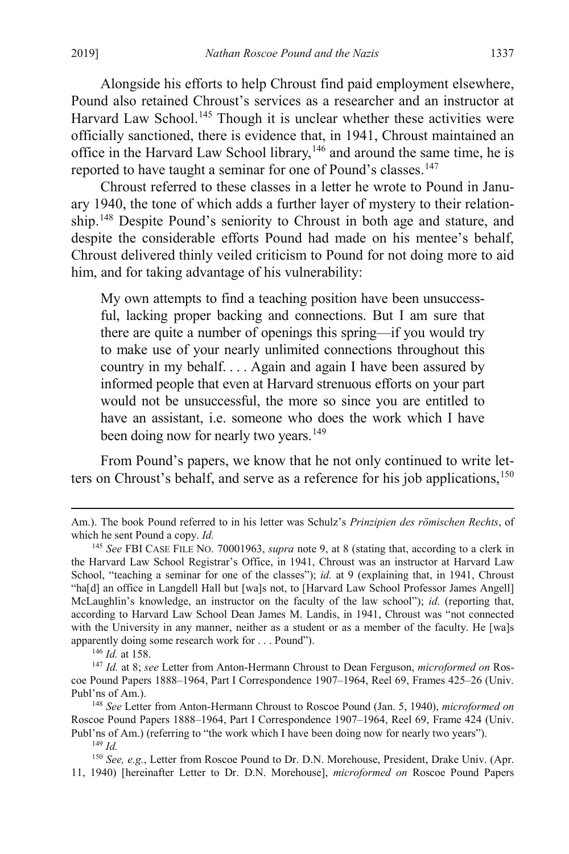Alongside his efforts to help Chroust find paid employment elsewhere, Pound also retained Chroust's services as a researcher and an instructor at Harvard Law School.<sup>[145](#page-25-0)</sup> Though it is unclear whether these activities were officially sanctioned, there is evidence that, in 1941, Chroust maintained an office in the Harvard Law School library,[146](#page-25-1) and around the same time, he is reported to have taught a seminar for one of Pound's classes.<sup>[147](#page-25-2)</sup>

Chroust referred to these classes in a letter he wrote to Pound in January 1940, the tone of which adds a further layer of mystery to their relation-ship.<sup>[148](#page-25-3)</sup> Despite Pound's seniority to Chroust in both age and stature, and despite the considerable efforts Pound had made on his mentee's behalf, Chroust delivered thinly veiled criticism to Pound for not doing more to aid him, and for taking advantage of his vulnerability:

My own attempts to find a teaching position have been unsuccessful, lacking proper backing and connections. But I am sure that there are quite a number of openings this spring—if you would try to make use of your nearly unlimited connections throughout this country in my behalf. . . . Again and again I have been assured by informed people that even at Harvard strenuous efforts on your part would not be unsuccessful, the more so since you are entitled to have an assistant, i.e. someone who does the work which I have been doing now for nearly two years.<sup>[149](#page-25-4)</sup>

From Pound's papers, we know that he not only continued to write letters on Chroust's behalf, and serve as a reference for his job applications,  $150$ 

Am.). The book Pound referred to in his letter was Schulz's *Prinzipien des römischen Rechts*, of which he sent Pound a copy. *Id.*

<span id="page-25-0"></span><sup>145</sup> *See* FBI CASE FILE NO. 70001963, *supra* note [9,](#page-3-10) at 8 (stating that, according to a clerk in the Harvard Law School Registrar's Office, in 1941, Chroust was an instructor at Harvard Law School, "teaching a seminar for one of the classes"); *id.* at 9 (explaining that, in 1941, Chroust "ha[d] an office in Langdell Hall but [wa]s not, to [Harvard Law School Professor James Angell] McLaughlin's knowledge, an instructor on the faculty of the law school"); *id.* (reporting that, according to Harvard Law School Dean James M. Landis, in 1941, Chroust was "not connected with the University in any manner, neither as a student or as a member of the faculty. He [wa]s apparently doing some research work for . . . Pound"). 146 *Id.* at 158.

<span id="page-25-2"></span><span id="page-25-1"></span><sup>147</sup> *Id.* at 8; *see* Letter from Anton-Hermann Chroust to Dean Ferguson, *microformed on* Roscoe Pound Papers 1888–1964, Part I Correspondence 1907–1964, Reel 69, Frames 425–26 (Univ. Publ'ns of Am.). 148 *See* Letter from Anton-Hermann Chroust to Roscoe Pound (Jan. 5, 1940), *microformed on* 

<span id="page-25-3"></span>Roscoe Pound Papers 1888–1964, Part I Correspondence 1907–1964, Reel 69, Frame 424 (Univ. Publ'ns of Am.) (referring to "the work which I have been doing now for nearly two years").

<sup>149</sup> *Id.*

<span id="page-25-5"></span><span id="page-25-4"></span><sup>&</sup>lt;sup>150</sup> See, e.g., Letter from Roscoe Pound to Dr. D.N. Morehouse, President, Drake Univ. (Apr. 11, 1940) [hereinafter Letter to Dr. D.N. Morehouse], *microformed on* Roscoe Pound Papers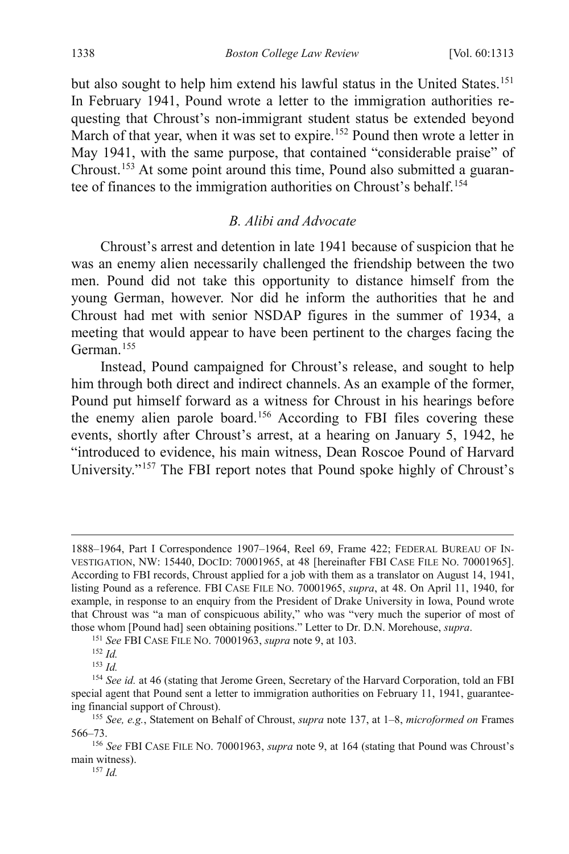but also sought to help him extend his lawful status in the United States. [151](#page-26-2) In February 1941, Pound wrote a letter to the immigration authorities requesting that Chroust's non-immigrant student status be extended beyond March of that year, when it was set to expire.<sup>[152](#page-26-3)</sup> Pound then wrote a letter in May 1941, with the same purpose, that contained "considerable praise" of Chroust.[153](#page-26-4) At some point around this time, Pound also submitted a guaran-tee of finances to the immigration authorities on Chroust's behalf.<sup>[154](#page-26-5)</sup>

## <span id="page-26-0"></span>*B. Alibi and Advocate*

Chroust's arrest and detention in late 1941 because of suspicion that he was an enemy alien necessarily challenged the friendship between the two men. Pound did not take this opportunity to distance himself from the young German, however. Nor did he inform the authorities that he and Chroust had met with senior NSDAP figures in the summer of 1934, a meeting that would appear to have been pertinent to the charges facing the German.[155](#page-26-6)

<span id="page-26-9"></span><span id="page-26-1"></span>Instead, Pound campaigned for Chroust's release, and sought to help him through both direct and indirect channels. As an example of the former, Pound put himself forward as a witness for Chroust in his hearings before the enemy alien parole board.[156](#page-26-7) According to FBI files covering these events, shortly after Chroust's arrest, at a hearing on January 5, 1942, he "introduced to evidence, his main witness, Dean Roscoe Pound of Harvard University."[157](#page-26-8) The FBI report notes that Pound spoke highly of Chroust's

 <sup>1888–1964,</sup> Part I Correspondence 1907–1964, Reel 69, Frame 422; FEDERAL BUREAU OF IN-VESTIGATION, NW: 15440, DOCID: 70001965, at 48 [hereinafter FBI CASE FILE NO. 70001965]. According to FBI records, Chroust applied for a job with them as a translator on August 14, 1941, listing Pound as a reference. FBI CASE FILE NO. 70001965, *supra*, at 48. On April 11, 1940, for example, in response to an enquiry from the President of Drake University in Iowa, Pound wrote that Chroust was "a man of conspicuous ability," who was "very much the superior of most of those whom [Pound had] seen obtaining positions." Letter to Dr. D.N. Morehouse, *supra*. 151 *See* FBI CASE FILE NO. 70001963, *supra* not[e 9,](#page-3-10) at 103.

<sup>152</sup> *Id.*

<sup>153</sup> *Id.*

<span id="page-26-5"></span><span id="page-26-4"></span><span id="page-26-3"></span><span id="page-26-2"></span><sup>&</sup>lt;sup>154</sup> See id. at 46 (stating that Jerome Green, Secretary of the Harvard Corporation, told an FBI special agent that Pound sent a letter to immigration authorities on February 11, 1941, guaranteeing financial support of Chroust). 155 *See, e.g.*, Statement on Behalf of Chroust, *supra* note [137,](#page-23-9) at 1–8, *microformed on* Frames

<span id="page-26-6"></span><sup>566–73.</sup>

<span id="page-26-8"></span><span id="page-26-7"></span><sup>156</sup> *See* FBI CASE FILE NO. 70001963, *supra* note [9,](#page-3-10) at 164 (stating that Pound was Chroust's main witness). 157 *Id.*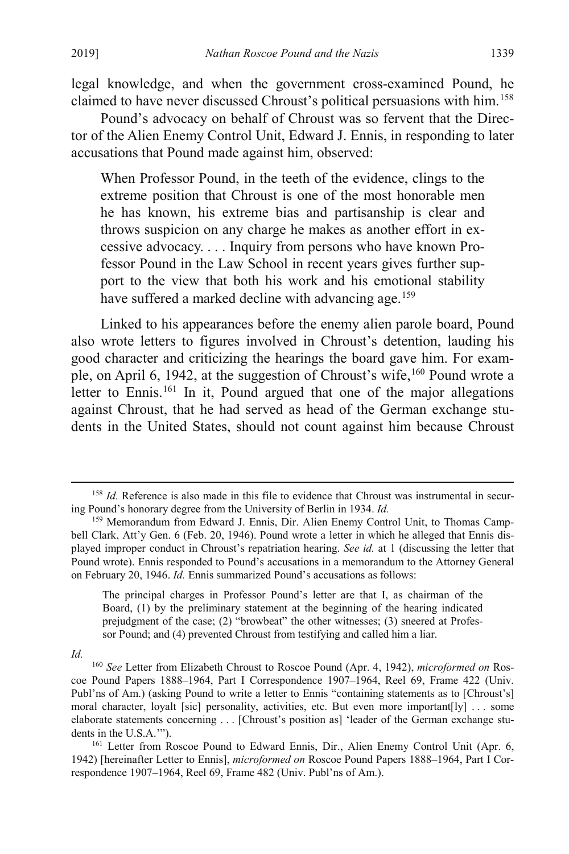legal knowledge, and when the government cross-examined Pound, he claimed to have never discussed Chroust's political persuasions with him.[158](#page-27-0)

Pound's advocacy on behalf of Chroust was so fervent that the Director of the Alien Enemy Control Unit, Edward J. Ennis, in responding to later accusations that Pound made against him, observed:

When Professor Pound, in the teeth of the evidence, clings to the extreme position that Chroust is one of the most honorable men he has known, his extreme bias and partisanship is clear and throws suspicion on any charge he makes as another effort in excessive advocacy. . . . Inquiry from persons who have known Professor Pound in the Law School in recent years gives further support to the view that both his work and his emotional stability have suffered a marked decline with advancing age.<sup>[159](#page-27-1)</sup>

Linked to his appearances before the enemy alien parole board, Pound also wrote letters to figures involved in Chroust's detention, lauding his good character and criticizing the hearings the board gave him. For exam-ple, on April 6, 1942, at the suggestion of Chroust's wife, <sup>[160](#page-27-2)</sup> Pound wrote a letter to Ennis.<sup>[161](#page-27-3)</sup> In it, Pound argued that one of the major allegations against Chroust, that he had served as head of the German exchange students in the United States, should not count against him because Chroust

The principal charges in Professor Pound's letter are that I, as chairman of the Board, (1) by the preliminary statement at the beginning of the hearing indicated prejudgment of the case; (2) "browbeat" the other witnesses; (3) sneered at Professor Pound; and (4) prevented Chroust from testifying and called him a liar.

*Id.*

<span id="page-27-0"></span> <sup>158</sup> *Id.* Reference is also made in this file to evidence that Chroust was instrumental in securing Pound's honorary degree from the University of Berlin in 1934. *Id.*

<span id="page-27-1"></span><sup>&</sup>lt;sup>159</sup> Memorandum from Edward J. Ennis, Dir. Alien Enemy Control Unit, to Thomas Campbell Clark, Att'y Gen. 6 (Feb. 20, 1946). Pound wrote a letter in which he alleged that Ennis displayed improper conduct in Chroust's repatriation hearing. *See id.* at 1 (discussing the letter that Pound wrote). Ennis responded to Pound's accusations in a memorandum to the Attorney General on February 20, 1946. *Id.* Ennis summarized Pound's accusations as follows:

<span id="page-27-2"></span><sup>160</sup> *See* Letter from Elizabeth Chroust to Roscoe Pound (Apr. 4, 1942), *microformed on* Roscoe Pound Papers 1888–1964, Part I Correspondence 1907–1964, Reel 69, Frame 422 (Univ. Publ'ns of Am.) (asking Pound to write a letter to Ennis "containing statements as to [Chroust's] moral character, loyalt [sic] personality, activities, etc. But even more important[ly] . . . some elaborate statements concerning . . . [Chroust's position as] 'leader of the German exchange students in the U.S.A.'").<br><sup>161</sup> Letter from Roscoe Pound to Edward Ennis, Dir., Alien Enemy Control Unit (Apr. 6,

<span id="page-27-3"></span><sup>1942) [</sup>hereinafter Letter to Ennis], *microformed on* Roscoe Pound Papers 1888–1964, Part I Correspondence 1907–1964, Reel 69, Frame 482 (Univ. Publ'ns of Am.).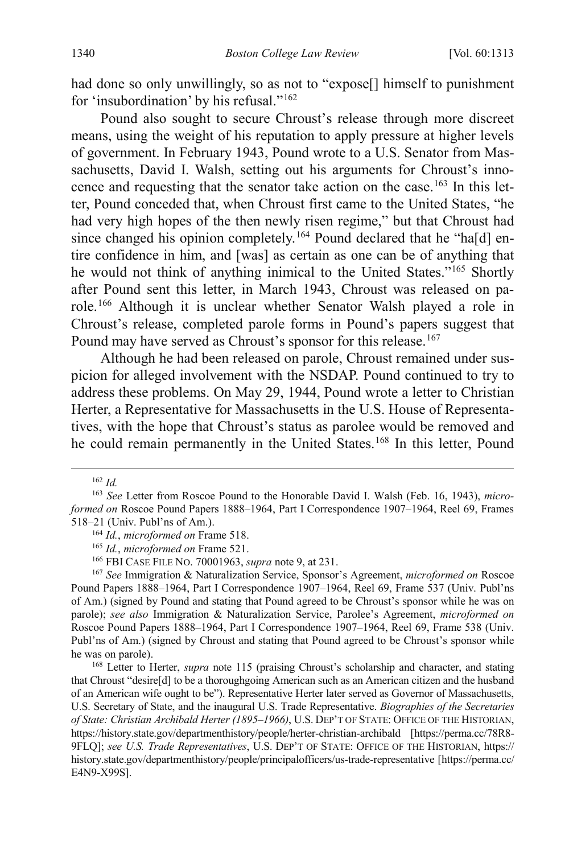had done so only unwillingly, so as not to "expose[] himself to punishment for 'insubordination' by his refusal."[162](#page-28-0)

Pound also sought to secure Chroust's release through more discreet means, using the weight of his reputation to apply pressure at higher levels of government. In February 1943, Pound wrote to a U.S. Senator from Massachusetts, David I. Walsh, setting out his arguments for Chroust's inno-cence and requesting that the senator take action on the case.<sup>[163](#page-28-1)</sup> In this letter, Pound conceded that, when Chroust first came to the United States, "he had very high hopes of the then newly risen regime," but that Chroust had since changed his opinion completely.<sup>[164](#page-28-2)</sup> Pound declared that he "ha[d] entire confidence in him, and [was] as certain as one can be of anything that he would not think of anything inimical to the United States."[165](#page-28-3) Shortly after Pound sent this letter, in March 1943, Chroust was released on parole.[166](#page-28-4) Although it is unclear whether Senator Walsh played a role in Chroust's release, completed parole forms in Pound's papers suggest that Pound may have served as Chroust's sponsor for this release.<sup>[167](#page-28-5)</sup>

Although he had been released on parole, Chroust remained under suspicion for alleged involvement with the NSDAP. Pound continued to try to address these problems. On May 29, 1944, Pound wrote a letter to Christian Herter, a Representative for Massachusetts in the U.S. House of Representatives, with the hope that Chroust's status as parolee would be removed and he could remain permanently in the United States.<sup>[168](#page-28-6)</sup> In this letter, Pound

<span id="page-28-5"></span><span id="page-28-4"></span><span id="page-28-3"></span><sup>167</sup> *See* Immigration & Naturalization Service, Sponsor's Agreement, *microformed on* Roscoe Pound Papers 1888–1964, Part I Correspondence 1907–1964, Reel 69, Frame 537 (Univ. Publ'ns of Am.) (signed by Pound and stating that Pound agreed to be Chroust's sponsor while he was on parole); *see also* Immigration & Naturalization Service, Parolee's Agreement, *microformed on* Roscoe Pound Papers 1888–1964, Part I Correspondence 1907–1964, Reel 69, Frame 538 (Univ. Publ'ns of Am.) (signed by Chroust and stating that Pound agreed to be Chroust's sponsor while he was on parole).

 <sup>162</sup> *Id.*

<span id="page-28-2"></span><span id="page-28-1"></span><span id="page-28-0"></span><sup>163</sup> *See* Letter from Roscoe Pound to the Honorable David I. Walsh (Feb. 16, 1943), *microformed on* Roscoe Pound Papers 1888–1964, Part I Correspondence 1907–1964, Reel 69, Frames 518–21 (Univ. Publ'ns of Am.).

<sup>164</sup> *Id.*, *microformed on* Frame 518.

<sup>165</sup> *Id.*, *microformed on* Frame 521.

<sup>166</sup> FBI CASE FILE NO. 70001963, *supra* not[e 9,](#page-3-10) at 231.

<span id="page-28-6"></span><sup>&</sup>lt;sup>168</sup> Letter to Herter, *supra* note [115](#page-21-5) (praising Chroust's scholarship and character, and stating that Chroust "desire[d] to be a thoroughgoing American such as an American citizen and the husband of an American wife ought to be"). Representative Herter later served as Governor of Massachusetts, U.S. Secretary of State, and the inaugural U.S. Trade Representative. *Biographies of the Secretaries of State: Christian Archibald Herter (1895–1966)*, U.S. DEP'T OF STATE: OFFICE OF THE HISTORIAN, https://history.state.gov/departmenthistory/people/herter-christian-archibald [https://perma.cc/78R8- 9FLQ]; *see U.S. Trade Representatives*, U.S. DEP'T OF STATE: OFFICE OF THE HISTORIAN, https:// history.state.gov/departmenthistory/people/principalofficers/us-trade-representative [https://perma.cc/ E4N9-X99S].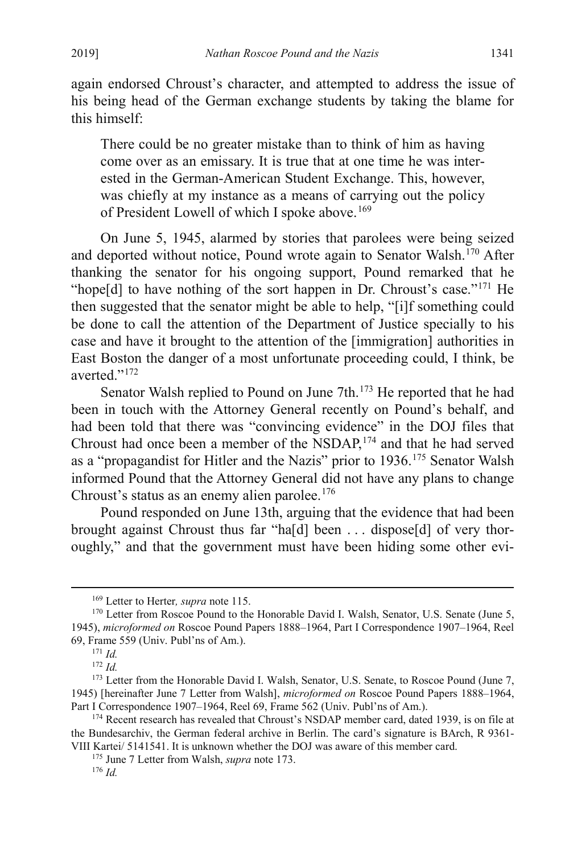again endorsed Chroust's character, and attempted to address the issue of his being head of the German exchange students by taking the blame for this himself:

There could be no greater mistake than to think of him as having come over as an emissary. It is true that at one time he was interested in the German-American Student Exchange. This, however, was chiefly at my instance as a means of carrying out the policy of President Lowell of which I spoke above.<sup>[169](#page-29-1)</sup>

On June 5, 1945, alarmed by stories that parolees were being seized and deported without notice, Pound wrote again to Senator Walsh.<sup>[170](#page-29-2)</sup> After thanking the senator for his ongoing support, Pound remarked that he "hope[d] to have nothing of the sort happen in Dr. Chroust's case."<sup>[171](#page-29-3)</sup> He then suggested that the senator might be able to help, "[i]f something could be done to call the attention of the Department of Justice specially to his case and have it brought to the attention of the [immigration] authorities in East Boston the danger of a most unfortunate proceeding could, I think, be averted."[172](#page-29-4)

<span id="page-29-0"></span>Senator Walsh replied to Pound on June 7th.<sup>[173](#page-29-5)</sup> He reported that he had been in touch with the Attorney General recently on Pound's behalf, and had been told that there was "convincing evidence" in the DOJ files that Chroust had once been a member of the NSDAP,<sup>[174](#page-29-6)</sup> and that he had served as a "propagandist for Hitler and the Nazis" prior to 1936.[175](#page-29-7) Senator Walsh informed Pound that the Attorney General did not have any plans to change Chroust's status as an enemy alien parolee.<sup>[176](#page-29-8)</sup>

Pound responded on June 13th, arguing that the evidence that had been brought against Chroust thus far "ha[d] been . . . dispose[d] of very thoroughly," and that the government must have been hiding some other evi-

<span id="page-29-2"></span><span id="page-29-1"></span><sup>&</sup>lt;sup>169</sup> Letter to Herter, *supra* note 115.<br><sup>170</sup> Letter from Roscoe Pound to the Honorable David I. Walsh, Senator, U.S. Senate (June 5, 1945), *microformed on* Roscoe Pound Papers 1888–1964, Part I Correspondence 1907–1964, Reel 69, Frame 559 (Univ. Publ'ns of Am.). 171 *Id.*

<sup>172</sup> *Id.*

<span id="page-29-5"></span><span id="page-29-4"></span><span id="page-29-3"></span><sup>&</sup>lt;sup>173</sup> Letter from the Honorable David I. Walsh, Senator, U.S. Senate, to Roscoe Pound (June 7, 1945) [hereinafter June 7 Letter from Walsh], *microformed on* Roscoe Pound Papers 1888–1964,

<span id="page-29-8"></span><span id="page-29-7"></span><span id="page-29-6"></span><sup>&</sup>lt;sup>174</sup> Recent research has revealed that Chroust's NSDAP member card, dated 1939, is on file at the Bundesarchiv, the German federal archive in Berlin. The card's signature is BArch, R 9361- VIII Kartei/ 5141541. It is unknown whether the DOJ was aware of this member card.

<sup>175</sup> June 7 Letter from Walsh, *supra* not[e 173.](#page-29-0) 176 *Id.*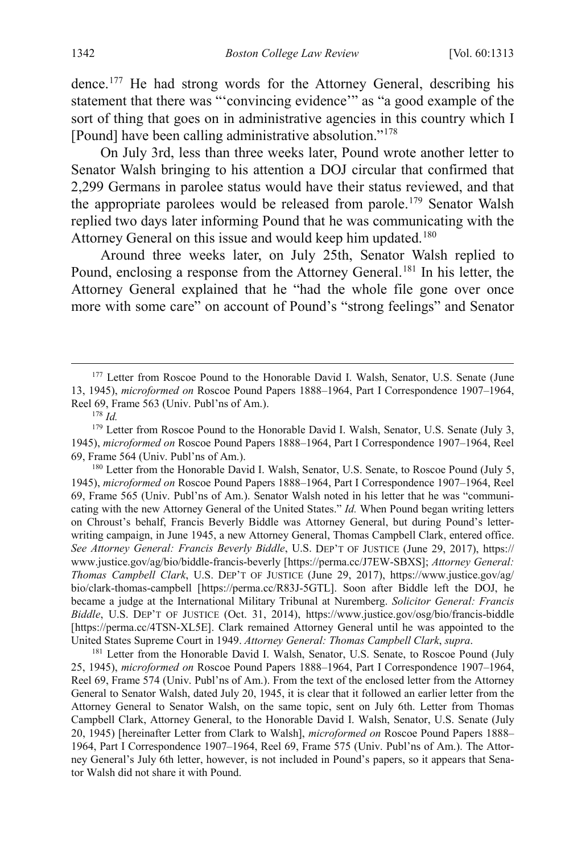dence.[177](#page-30-0) He had strong words for the Attorney General, describing his statement that there was "'convincing evidence'" as "a good example of the sort of thing that goes on in administrative agencies in this country which I [Pound] have been calling administrative absolution.["178](#page-30-1)

On July 3rd, less than three weeks later, Pound wrote another letter to Senator Walsh bringing to his attention a DOJ circular that confirmed that 2,299 Germans in parolee status would have their status reviewed, and that the appropriate parolees would be released from parole. [179](#page-30-2) Senator Walsh replied two days later informing Pound that he was communicating with the Attorney General on this issue and would keep him updated.<sup>[180](#page-30-3)</sup>

<span id="page-30-5"></span>Around three weeks later, on July 25th, Senator Walsh replied to Pound, enclosing a response from the Attorney General.<sup>[181](#page-30-4)</sup> In his letter, the Attorney General explained that he "had the whole file gone over once more with some care" on account of Pound's "strong feelings" and Senator

<span id="page-30-3"></span>1945), *microformed on* Roscoe Pound Papers 1888–1964, Part I Correspondence 1907–1964, Reel 69, Frame 565 (Univ. Publ'ns of Am.). Senator Walsh noted in his letter that he was "communicating with the new Attorney General of the United States." *Id.* When Pound began writing letters on Chroust's behalf, Francis Beverly Biddle was Attorney General, but during Pound's letterwriting campaign, in June 1945, a new Attorney General, Thomas Campbell Clark, entered office. *See Attorney General: Francis Beverly Biddle*, U.S. DEP'T OF JUSTICE (June 29, 2017), https:// www.justice.gov/ag/bio/biddle-francis-beverly [https://perma.cc/J7EW-SBXS]; *Attorney General: Thomas Campbell Clark*, U.S. DEP'T OF JUSTICE (June 29, 2017), https://www.justice.gov/ag/ bio/clark-thomas-campbell [https://perma.cc/R83J-5GTL]. Soon after Biddle left the DOJ, he became a judge at the International Military Tribunal at Nuremberg. *Solicitor General: Francis Biddle*, U.S. DEP'T OF JUSTICE (Oct. 31, 2014), https://www.justice.gov/osg/bio/francis-biddle [https://perma.cc/4TSN-XL5E]. Clark remained Attorney General until he was appointed to the United States Supreme Court in 1949. *Attorney General: Thomas Campbell Clark*, *supra*. 181 Letter from the Honorable David I. Walsh, Senator, U.S. Senate, to Roscoe Pound (July

<span id="page-30-4"></span>25, 1945), *microformed on* Roscoe Pound Papers 1888–1964, Part I Correspondence 1907–1964, Reel 69, Frame 574 (Univ. Publ'ns of Am.). From the text of the enclosed letter from the Attorney General to Senator Walsh, dated July 20, 1945, it is clear that it followed an earlier letter from the Attorney General to Senator Walsh, on the same topic, sent on July 6th. Letter from Thomas Campbell Clark, Attorney General, to the Honorable David I. Walsh, Senator, U.S. Senate (July 20, 1945) [hereinafter Letter from Clark to Walsh], *microformed on* Roscoe Pound Papers 1888– 1964, Part I Correspondence 1907–1964, Reel 69, Frame 575 (Univ. Publ'ns of Am.). The Attorney General's July 6th letter, however, is not included in Pound's papers, so it appears that Senator Walsh did not share it with Pound.

<span id="page-30-0"></span><sup>&</sup>lt;sup>177</sup> Letter from Roscoe Pound to the Honorable David I. Walsh, Senator, U.S. Senate (June 13, 1945), *microformed on* Roscoe Pound Papers 1888–1964, Part I Correspondence 1907–1964, Reel 69, Frame 563 (Univ. Publ'ns of Am.). 178 *Id.*

<span id="page-30-2"></span><span id="page-30-1"></span><sup>&</sup>lt;sup>179</sup> Letter from Roscoe Pound to the Honorable David I. Walsh, Senator, U.S. Senate (July 3, 1945), *microformed on* Roscoe Pound Papers 1888–1964, Part I Correspondence 1907–1964, Reel 69, Frame 564 (Univ. Publ'ns of Am.).<br><sup>180</sup> Letter from the Honorable David I. Walsh, Senator, U.S. Senate, to Roscoe Pound (July 5,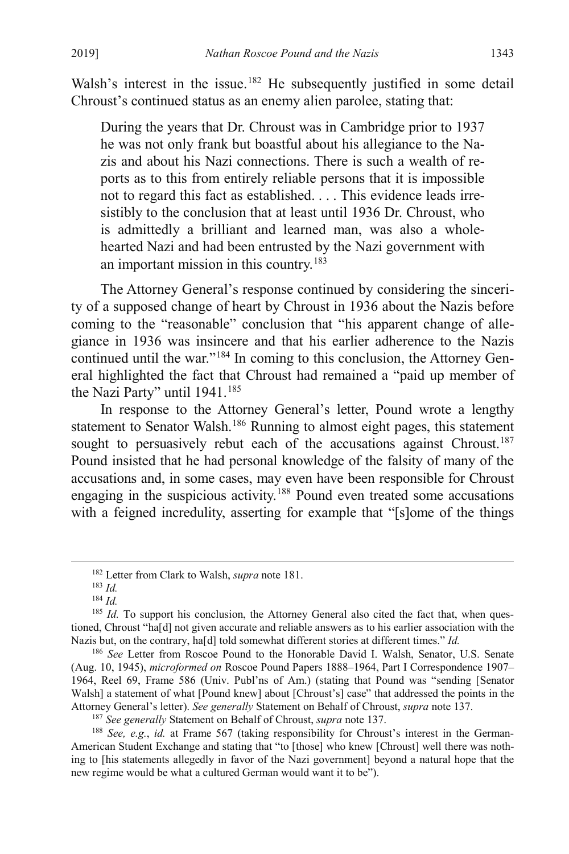Walsh's interest in the issue.<sup>[182](#page-31-0)</sup> He subsequently justified in some detail Chroust's continued status as an enemy alien parolee, stating that:

During the years that Dr. Chroust was in Cambridge prior to 1937 he was not only frank but boastful about his allegiance to the Nazis and about his Nazi connections. There is such a wealth of reports as to this from entirely reliable persons that it is impossible not to regard this fact as established. . . . This evidence leads irresistibly to the conclusion that at least until 1936 Dr. Chroust, who is admittedly a brilliant and learned man, was also a wholehearted Nazi and had been entrusted by the Nazi government with an important mission in this country.[183](#page-31-1)

The Attorney General's response continued by considering the sincerity of a supposed change of heart by Chroust in 1936 about the Nazis before coming to the "reasonable" conclusion that "his apparent change of allegiance in 1936 was insincere and that his earlier adherence to the Nazis continued until the war."[184](#page-31-2) In coming to this conclusion, the Attorney General highlighted the fact that Chroust had remained a "paid up member of the Nazi Party" until 1941.<sup>[185](#page-31-3)</sup>

In response to the Attorney General's letter, Pound wrote a lengthy statement to Senator Walsh.<sup>186</sup> Running to almost eight pages, this statement sought to persuasively rebut each of the accusations against Chroust.<sup>[187](#page-31-5)</sup> Pound insisted that he had personal knowledge of the falsity of many of the accusations and, in some cases, may even have been responsible for Chroust engaging in the suspicious activity.[188](#page-31-6) Pound even treated some accusations with a feigned incredulity, asserting for example that "[s]ome of the things

<span id="page-31-4"></span><sup>186</sup> See Letter from Roscoe Pound to the Honorable David I. Walsh, Senator, U.S. Senate (Aug. 10, 1945), *microformed on* Roscoe Pound Papers 1888–1964, Part I Correspondence 1907– 1964, Reel 69, Frame 586 (Univ. Publ'ns of Am.) (stating that Pound was "sending [Senator Walsh] a statement of what [Pound knew] about [Chroust's] case" that addressed the points in the Attorney General's letter). See generally Statement on Behalf of Chroust, *supra* note 137.

<span id="page-31-6"></span><span id="page-31-5"></span><sup>187</sup> See generally Statement on Behalf of Chroust, *supra* not[e 137.](#page-23-9)<br><sup>188</sup> See, e.g., id. at Frame 567 (taking responsibility for Chroust's interest in the German-American Student Exchange and stating that "to [those] who knew [Chroust] well there was nothing to [his statements allegedly in favor of the Nazi government] beyond a natural hope that the new regime would be what a cultured German would want it to be").

<sup>182</sup> Letter from Clark to Walsh, *supra* not[e 181.](#page-30-5) 183 *Id.*

<sup>184</sup> *Id.*

<span id="page-31-3"></span><span id="page-31-2"></span><span id="page-31-1"></span><span id="page-31-0"></span><sup>&</sup>lt;sup>185</sup> *Id.* To support his conclusion, the Attorney General also cited the fact that, when questioned, Chroust "ha[d] not given accurate and reliable answers as to his earlier association with the Nazis but, on the contrary, ha[d] told somewhat different stories at different times." *Id.*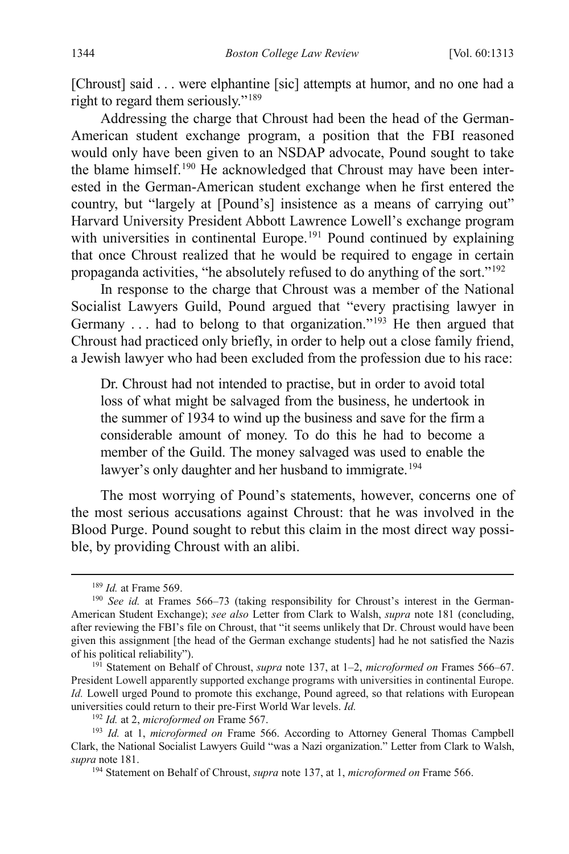[Chroust] said . . . were elphantine [sic] attempts at humor, and no one had a right to regard them seriously."[189](#page-32-0)

Addressing the charge that Chroust had been the head of the German-American student exchange program, a position that the FBI reasoned would only have been given to an NSDAP advocate, Pound sought to take the blame himself.<sup>[190](#page-32-1)</sup> He acknowledged that Chroust may have been interested in the German-American student exchange when he first entered the country, but "largely at [Pound's] insistence as a means of carrying out" Harvard University President Abbott Lawrence Lowell's exchange program with universities in continental Europe.<sup>[191](#page-32-2)</sup> Pound continued by explaining that once Chroust realized that he would be required to engage in certain propaganda activities, "he absolutely refused to do anything of the sort."[192](#page-32-3)

In response to the charge that Chroust was a member of the National Socialist Lawyers Guild, Pound argued that "every practising lawyer in Germany ... had to belong to that organization."<sup>[193](#page-32-4)</sup> He then argued that Chroust had practiced only briefly, in order to help out a close family friend, a Jewish lawyer who had been excluded from the profession due to his race:

Dr. Chroust had not intended to practise, but in order to avoid total loss of what might be salvaged from the business, he undertook in the summer of 1934 to wind up the business and save for the firm a considerable amount of money. To do this he had to become a member of the Guild. The money salvaged was used to enable the lawyer's only daughter and her husband to immigrate.<sup>[194](#page-32-5)</sup>

The most worrying of Pound's statements, however, concerns one of the most serious accusations against Chroust: that he was involved in the Blood Purge. Pound sought to rebut this claim in the most direct way possible, by providing Chroust with an alibi.

<span id="page-32-1"></span><span id="page-32-0"></span><sup>&</sup>lt;sup>189</sup> *Id.* at Frame 569.<br><sup>190</sup> *See id.* at Frames 566–73 (taking responsibility for Chroust's interest in the German-American Student Exchange); *see also* Letter from Clark to Walsh, *supra* note [181](#page-30-5) (concluding, after reviewing the FBI's file on Chroust, that "it seems unlikely that Dr. Chroust would have been given this assignment [the head of the German exchange students] had he not satisfied the Nazis of his political reliability").

<span id="page-32-2"></span><sup>191</sup> Statement on Behalf of Chroust, *supra* note [137,](#page-23-9) at 1–2, *microformed on* Frames 566–67. President Lowell apparently supported exchange programs with universities in continental Europe. *Id.* Lowell urged Pound to promote this exchange, Pound agreed, so that relations with European universities could return to their pre-First World War levels. *Id.*

<sup>192</sup> *Id.* at 2, *microformed on* Frame 567.

<span id="page-32-5"></span><span id="page-32-4"></span><span id="page-32-3"></span><sup>193</sup> *Id.* at 1, *microformed on* Frame 566. According to Attorney General Thomas Campbell Clark, the National Socialist Lawyers Guild "was a Nazi organization." Letter from Clark to Walsh, *supra* not[e 181.](#page-30-5) 194 Statement on Behalf of Chroust, *supra* not[e 137,](#page-23-9) at 1, *microformed on* Frame 566.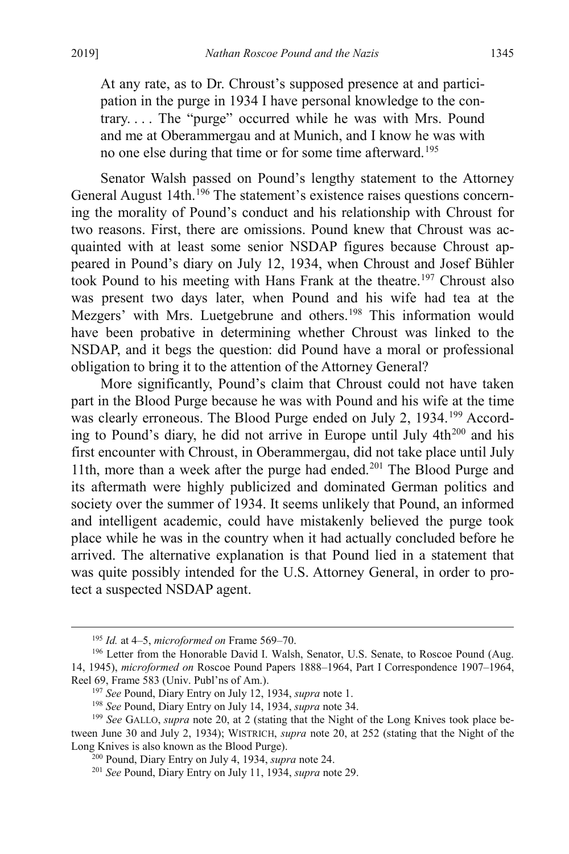At any rate, as to Dr. Chroust's supposed presence at and participation in the purge in 1934 I have personal knowledge to the contrary. . . . The "purge" occurred while he was with Mrs. Pound and me at Oberammergau and at Munich, and I know he was with no one else during that time or for some time afterward.[195](#page-33-1)

Senator Walsh passed on Pound's lengthy statement to the Attorney General August 14th.<sup>[196](#page-33-2)</sup> The statement's existence raises questions concerning the morality of Pound's conduct and his relationship with Chroust for two reasons. First, there are omissions. Pound knew that Chroust was acquainted with at least some senior NSDAP figures because Chroust appeared in Pound's diary on July 12, 1934, when Chroust and Josef Bühler took Pound to his meeting with Hans Frank at the theatre.<sup>[197](#page-33-3)</sup> Chroust also was present two days later, when Pound and his wife had tea at the Mezgers' with Mrs. Luetgebrune and others.<sup>[198](#page-33-4)</sup> This information would have been probative in determining whether Chroust was linked to the NSDAP, and it begs the question: did Pound have a moral or professional obligation to bring it to the attention of the Attorney General?

<span id="page-33-0"></span>More significantly, Pound's claim that Chroust could not have taken part in the Blood Purge because he was with Pound and his wife at the time was clearly erroneous. The Blood Purge ended on July 2, 1934.<sup>[199](#page-33-5)</sup> Accord-ing to Pound's diary, he did not arrive in Europe until July 4th<sup>[200](#page-33-6)</sup> and his first encounter with Chroust, in Oberammergau, did not take place until July 11th, more than a week after the purge had ended.<sup>[201](#page-33-7)</sup> The Blood Purge and its aftermath were highly publicized and dominated German politics and society over the summer of 1934. It seems unlikely that Pound, an informed and intelligent academic, could have mistakenly believed the purge took place while he was in the country when it had actually concluded before he arrived. The alternative explanation is that Pound lied in a statement that was quite possibly intended for the U.S. Attorney General, in order to protect a suspected NSDAP agent.

<span id="page-33-2"></span><span id="page-33-1"></span><sup>&</sup>lt;sup>195</sup> *Id.* at 4–5, *microformed on* Frame 569–70.<br><sup>196</sup> Letter from the Honorable David I. Walsh, Senator, U.S. Senate, to Roscoe Pound (Aug. 14, 1945), *microformed on* Roscoe Pound Papers 1888–1964, Part I Correspondence 1907–1964, Reel 69, Frame 583 (Univ. Publ'ns of Am.).<br><sup>197</sup> See Pound, Diary Entry on July 12, 1934, *supra* note [1.](#page-2-4)<br><sup>198</sup> See Pound, Diary Entry on July 14, 1934, *supra* note 34.<br><sup>199</sup> See GALLO, *supra* note [20,](#page-4-1) at 2 (stating that

<span id="page-33-7"></span><span id="page-33-6"></span><span id="page-33-5"></span><span id="page-33-4"></span><span id="page-33-3"></span>tween June 30 and July 2, 1934); WISTRICH, *supra* note [20,](#page-4-1) at 252 (stating that the Night of the Long Knives is also known as the Blood Purge).<br><sup>200</sup> Pound, Diary Entry on July 4, 1934, *supra* note 24.

<sup>&</sup>lt;sup>201</sup> See Pound, Diary Entry on July 11, 1934, *supra* note 29.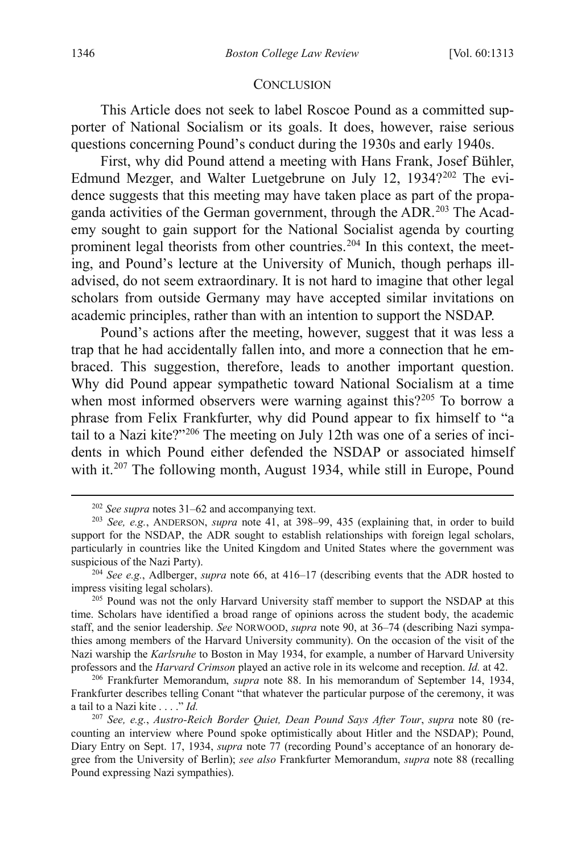#### **CONCLUSION**

This Article does not seek to label Roscoe Pound as a committed supporter of National Socialism or its goals. It does, however, raise serious questions concerning Pound's conduct during the 1930s and early 1940s.

First, why did Pound attend a meeting with Hans Frank, Josef Bühler, Edmund Mezger, and Walter Luetgebrune on July 12, 1934?<sup>[202](#page-34-0)</sup> The evidence suggests that this meeting may have taken place as part of the propa-ganda activities of the German government, through the ADR.<sup>[203](#page-34-1)</sup> The Academy sought to gain support for the National Socialist agenda by courting prominent legal theorists from other countries.<sup>[204](#page-34-2)</sup> In this context, the meeting, and Pound's lecture at the University of Munich, though perhaps illadvised, do not seem extraordinary. It is not hard to imagine that other legal scholars from outside Germany may have accepted similar invitations on academic principles, rather than with an intention to support the NSDAP.

Pound's actions after the meeting, however, suggest that it was less a trap that he had accidentally fallen into, and more a connection that he embraced. This suggestion, therefore, leads to another important question. Why did Pound appear sympathetic toward National Socialism at a time when most informed observers were warning against this?<sup>[205](#page-34-3)</sup> To borrow a phrase from Felix Frankfurter, why did Pound appear to fix himself to "a tail to a Nazi kite?"[206](#page-34-4) The meeting on July 12th was one of a series of incidents in which Pound either defended the NSDAP or associated himself with it.<sup>[207](#page-34-5)</sup> The following month, August 1934, while still in Europe, Pound

 <sup>202</sup> *See supra* note[s 31](#page-6-0)[–62](#page-11-0) and accompanying text.

<span id="page-34-1"></span><span id="page-34-0"></span><sup>203</sup> *See, e.g.*, ANDERSON, *supra* note [41,](#page-8-7) at 398–99, 435 (explaining that, in order to build support for the NSDAP, the ADR sought to establish relationships with foreign legal scholars, particularly in countries like the United Kingdom and United States where the government was suspicious of the Nazi Party).

<span id="page-34-2"></span><sup>204</sup> *See e.g.*, Adlberger, *supra* note [66,](#page-12-6) at 416–17 (describing events that the ADR hosted to impress visiting legal scholars).

<span id="page-34-3"></span><sup>&</sup>lt;sup>205</sup> Pound was not the only Harvard University staff member to support the NSDAP at this time. Scholars have identified a broad range of opinions across the student body, the academic staff, and the senior leadership. *See* NORWOOD, *supra* note [90,](#page-16-9) at 36–74 (describing Nazi sympathies among members of the Harvard University community). On the occasion of the visit of the Nazi warship the *Karlsruhe* to Boston in May 1934, for example, a number of Harvard University professors and the *Harvard Crimson* played an active role in its welcome and reception. *Id.* at 42. 206 Frankfurter Memorandum, *supra* note [88.](#page-16-0) In his memorandum of September 14, 1934,

<span id="page-34-4"></span>Frankfurter describes telling Conant "that whatever the particular purpose of the ceremony, it was a tail to a Nazi kite . . . ." *Id.*

<span id="page-34-5"></span><sup>207</sup> *See, e.g.*, *Austro-Reich Border Quiet, Dean Pound Says After Tour*, *supra* note [80](#page-14-0) (recounting an interview where Pound spoke optimistically about Hitler and the NSDAP); Pound, Diary Entry on Sept. 17, 1934, *supra* note [77](#page-14-7) (recording Pound's acceptance of an honorary degree from the University of Berlin); *see also* Frankfurter Memorandum, *supra* note [88](#page-16-0) (recalling Pound expressing Nazi sympathies).